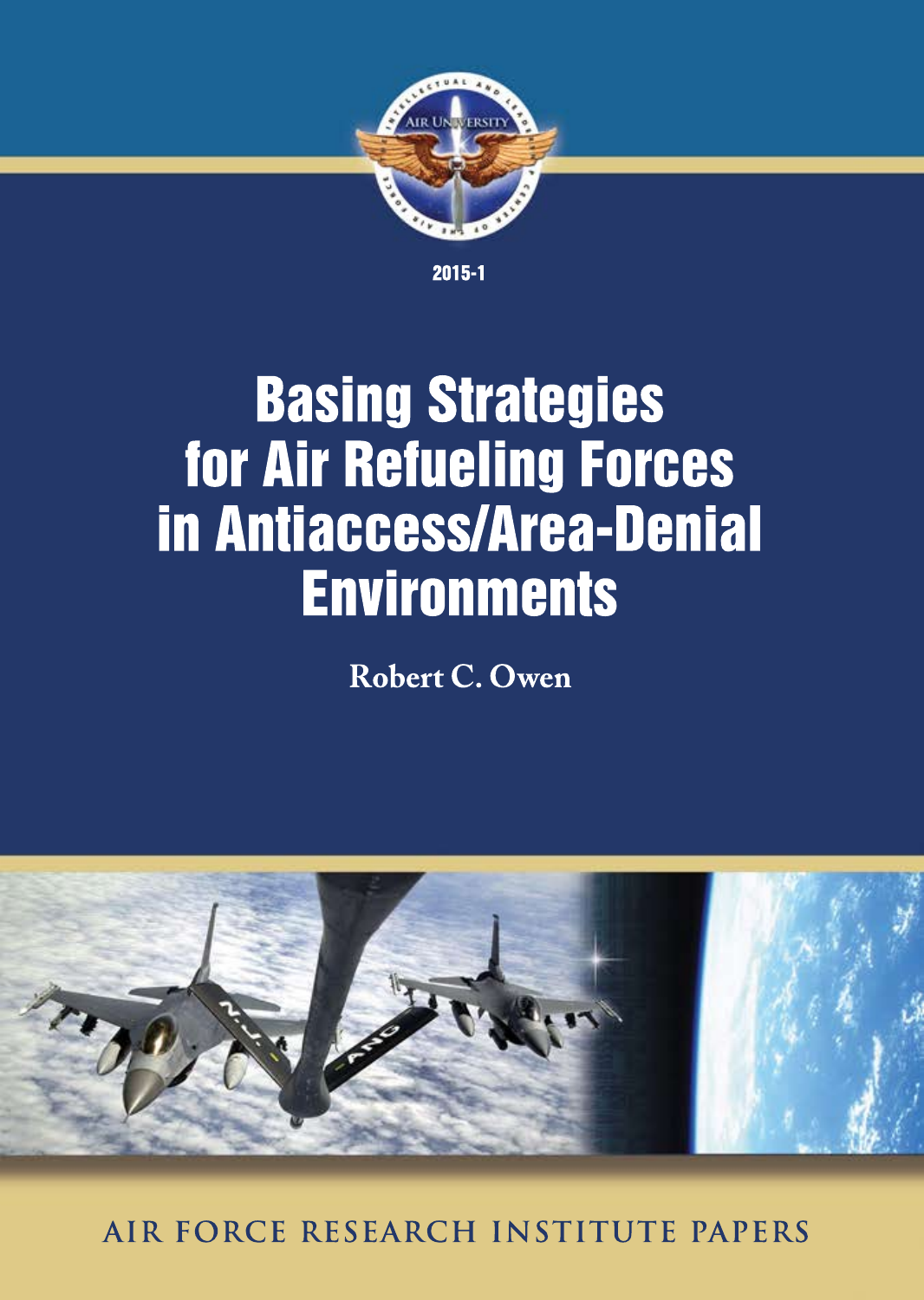

2015-1

# **Basing Strategies** for Air Refueling Forces inAntiaccess/Area-Denial **Environments**

**RobertC.Owen**



**AIR FORCERESEARCH INSTITUTEPAPERS**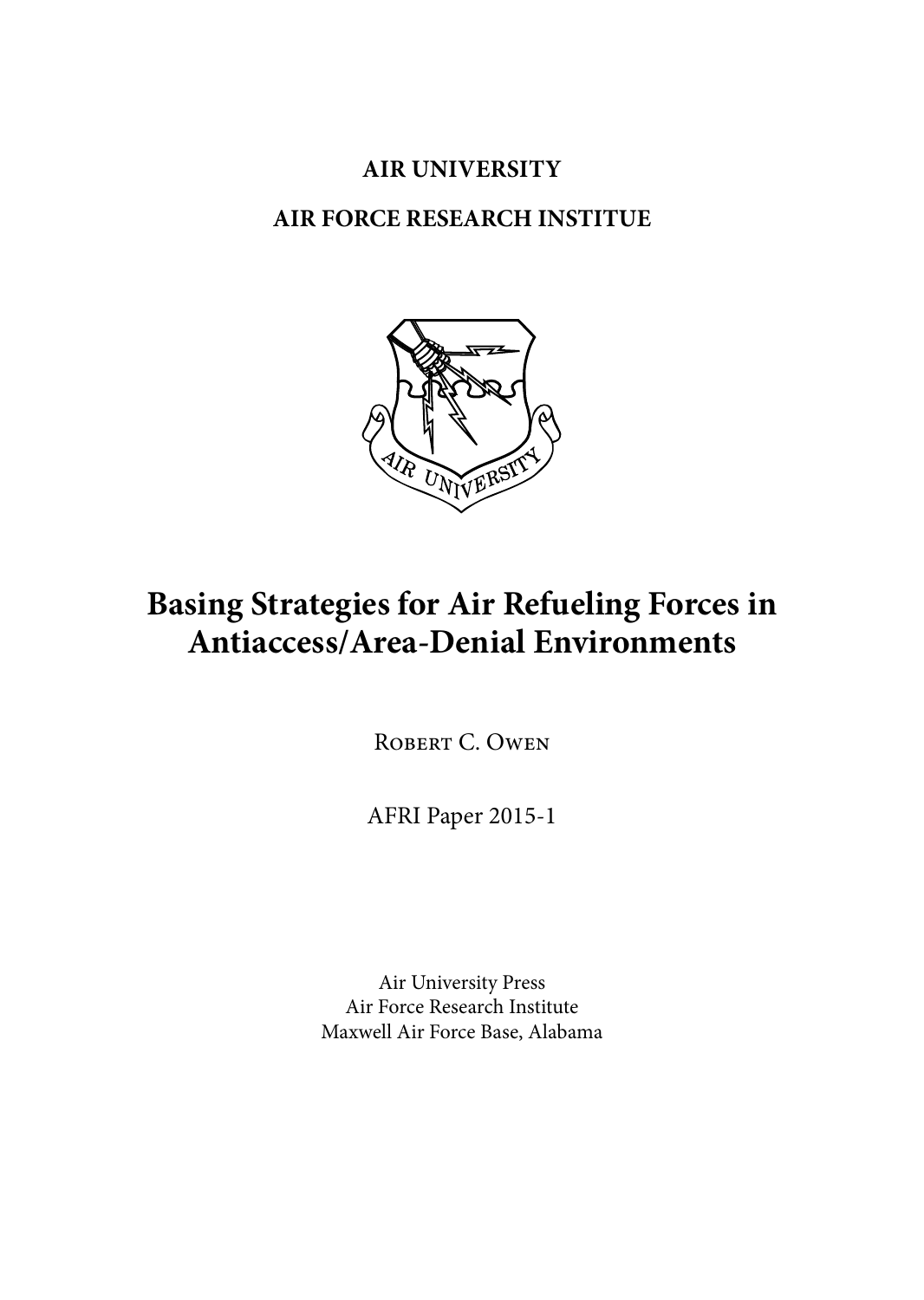## **Air University**

## **AIR FORCE RESEARCH INSTITUE**



# **Basing Strategies for Air Refueling Forces in Antiaccess/Area-Denial Environments**

ROBERT C. OWEN

AFRI Paper 2015-1

Air University Press Air Force Research Institute Maxwell Air Force Base, Alabama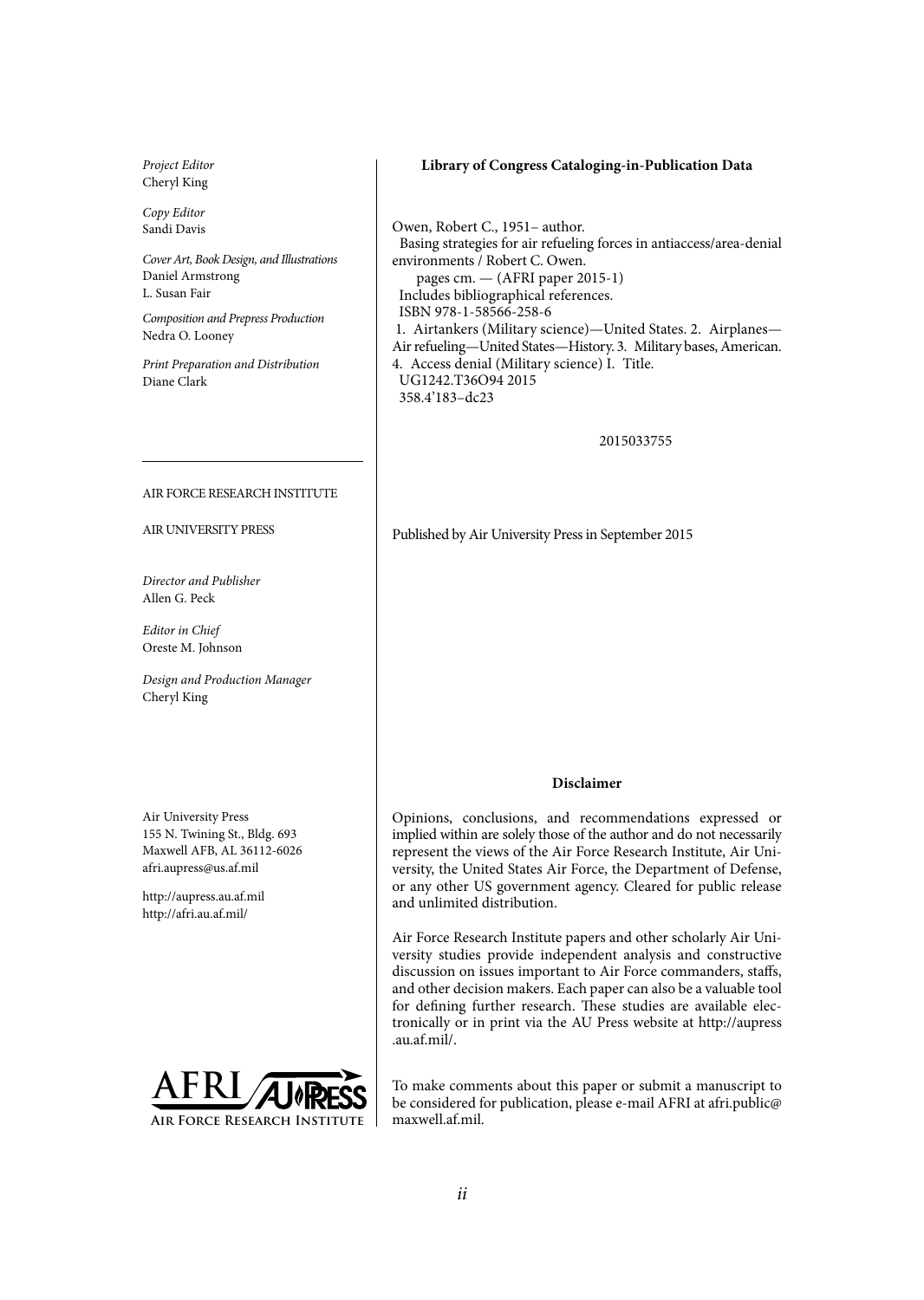*Project Editor* Cheryl King

*Copy Editor* Sandi Davis

*Cover Art, Book Design, and Illustrations* Daniel Armstrong L. Susan Fair

*Composition and Prepress Production* Nedra O. Looney

*Print Preparation and Distribution* Diane Clark

#### AIR FORCE RESEARCH INSTITUTE

AIR UNIVERSITY PRESS

*Director and Publisher* Allen G. Peck

*Editor in Chief* Oreste M. Johnson

*Design and Production Manager* Cheryl King

Air University Press 155 N. Twining St., Bldg. 693 Maxwell AFB, AL 36112-6026 afri.aupress@us.af.mil

http://aupress.au.af.mil http://afri.au.af.mil/



#### **Library of Congress Cataloging-in-Publication Data**

Owen, Robert C., 1951– author. Basing strategies for air refueling forces in antiaccess/area-denial environments / Robert C. Owen. pages cm. — (AFRI paper 2015-1) Includes bibliographical references. ISBN 978-1-58566-258-6 1. Airtankers (Military science)—United States. 2. Airplanes— Air refueling—United States—History. 3. Military bases, American. 4. Access denial (Military science) I. Title. UG1242.T36O94 2015 358.4'183–dc23

2015033755

Published by Air University Press in September 2015

#### **Disclaimer**

Opinions, conclusions, and recommendations expressed or implied within are solely those of the author and do not necessarily represent the views of the Air Force Research Institute, Air University, the United States Air Force, the Department of Defense, or any other US government agency. Cleared for public release and unlimited distribution.

Air Force Research Institute papers and other scholarly Air University studies provide independent analysis and constructive discussion on issues important to Air Force commanders, staffs, and other decision makers. Each paper can also be a valuable tool for defining further research. These studies are available electronically or in print via the AU Press website at http://aupress .au.af.mil/.

To make comments about this paper or submit a manuscript to be considered for publication, please e-mail AFRI at afri.public@ maxwell.af.mil.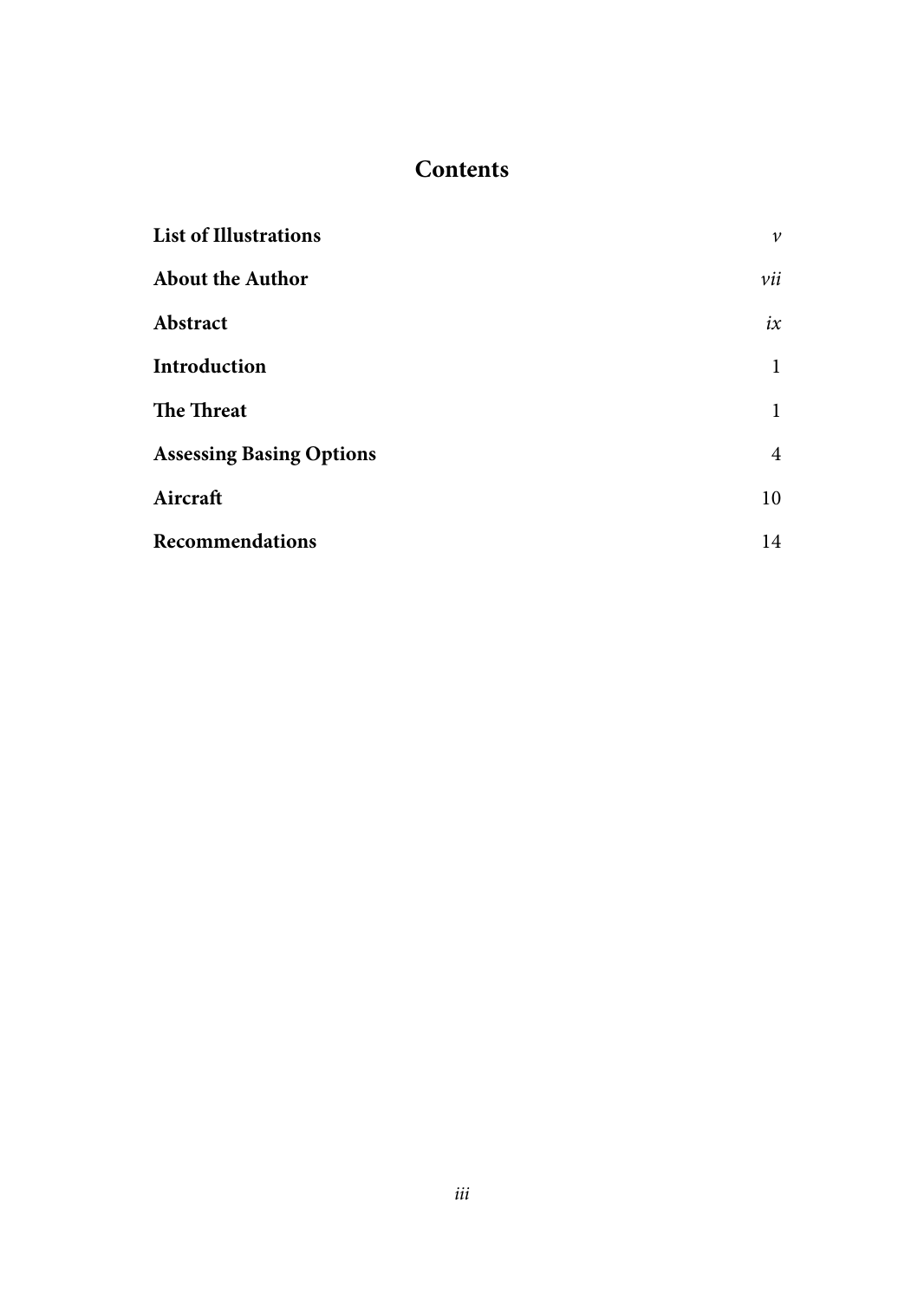## **Contents**

| <b>List of Illustrations</b>    | $\mathcal V$ |
|---------------------------------|--------------|
| <b>About the Author</b>         | vii          |
| Abstract                        | ix           |
| Introduction                    | 1            |
| The Threat                      | 1            |
| <b>Assessing Basing Options</b> | 4            |
| Aircraft                        | 10           |
| <b>Recommendations</b>          | 14           |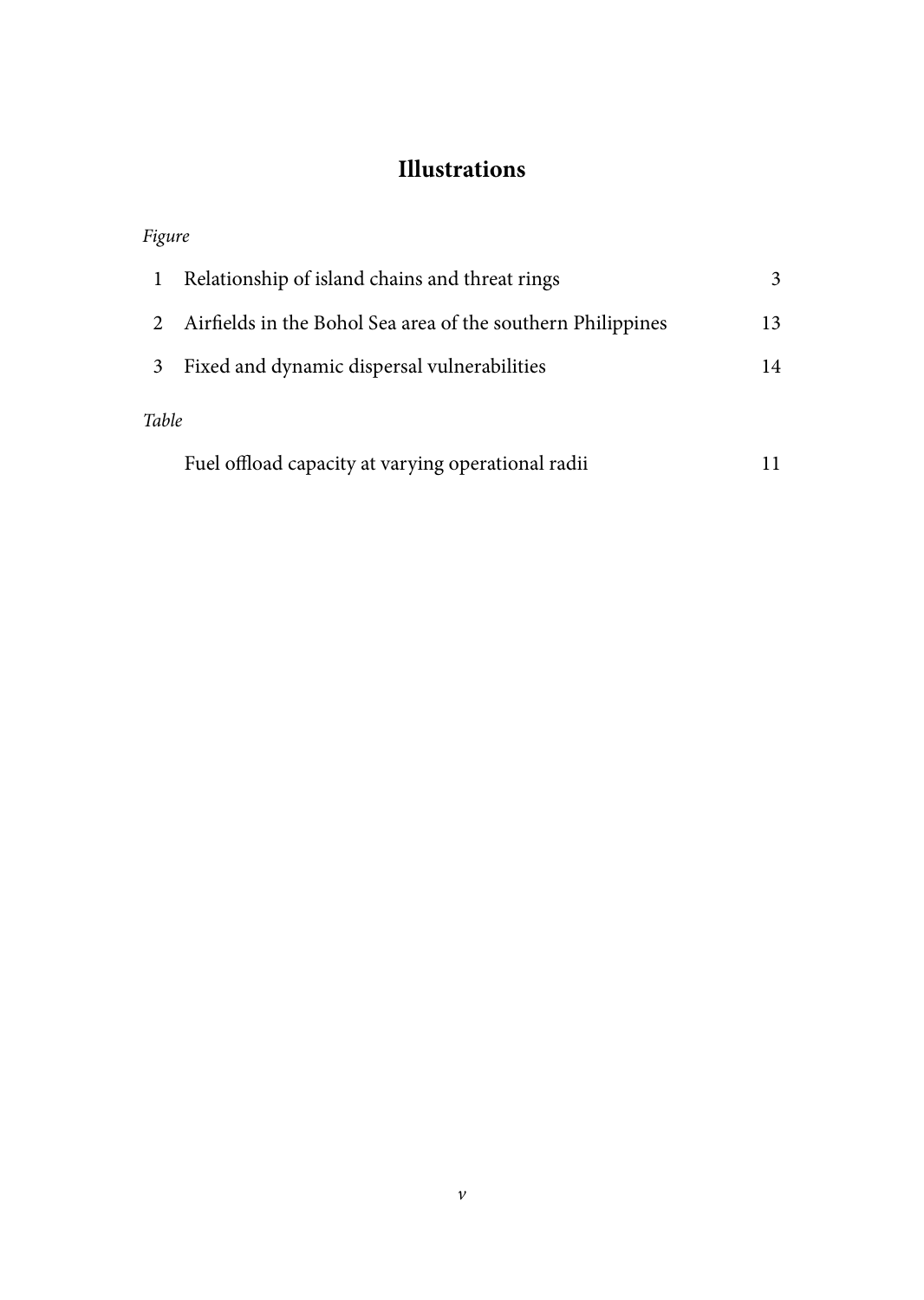## **Illustrations**

| Figure |                                                             |    |
|--------|-------------------------------------------------------------|----|
| 1      | Relationship of island chains and threat rings              | 3  |
|        | Airfields in the Bohol Sea area of the southern Philippines | 13 |
| 3      | Fixed and dynamic dispersal vulnerabilities                 | 14 |
| Table  |                                                             |    |
|        | Fuel offload capacity at varying operational radii          |    |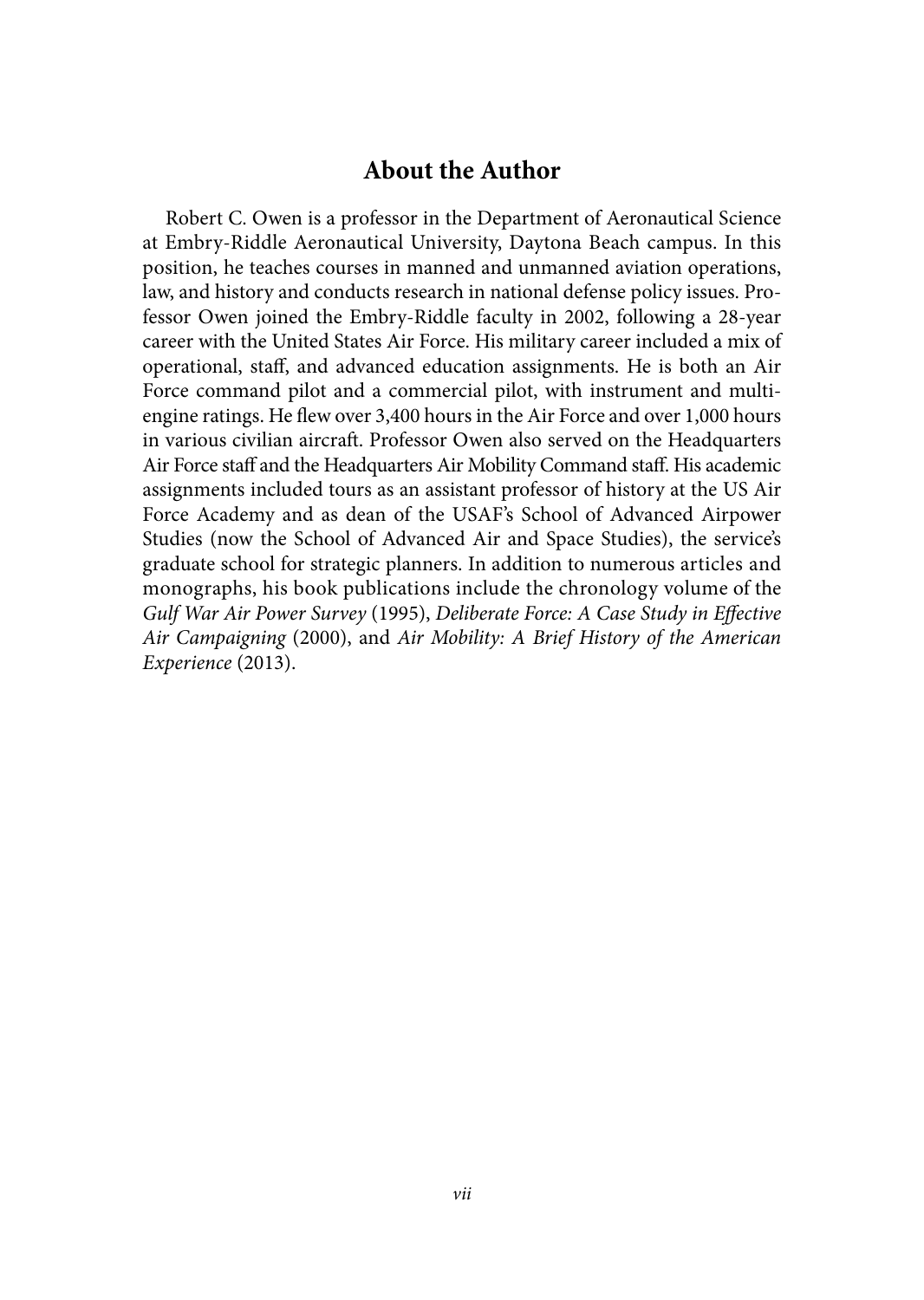## **About the Author**

Robert C. Owen is a professor in the Department of Aeronautical Science at Embry-Riddle Aeronautical University, Daytona Beach campus. In this position, he teaches courses in manned and unmanned aviation operations, law, and history and conducts research in national defense policy issues. Professor Owen joined the Embry-Riddle faculty in 2002, following a 28-year career with the United States Air Force. His military career included a mix of operational, staff, and advanced education assignments. He is both an Air Force command pilot and a commercial pilot, with instrument and multiengine ratings. He flew over 3,400 hours in the Air Force and over 1,000 hours in various civilian aircraft. Professor Owen also served on the Headquarters Air Force staff and the Headquarters Air Mobility Command staff. His academic assignments included tours as an assistant professor of history at the US Air Force Academy and as dean of the USAF's School of Advanced Airpower Studies (now the School of Advanced Air and Space Studies), the service's graduate school for strategic planners. In addition to numerous articles and monographs, his book publications include the chronology volume of the *Gulf War Air Power Survey* (1995), *Deliberate Force: A Case Study in Effective Air Campaigning* (2000), and *Air Mobility: A Brief History of the American Experience* (2013).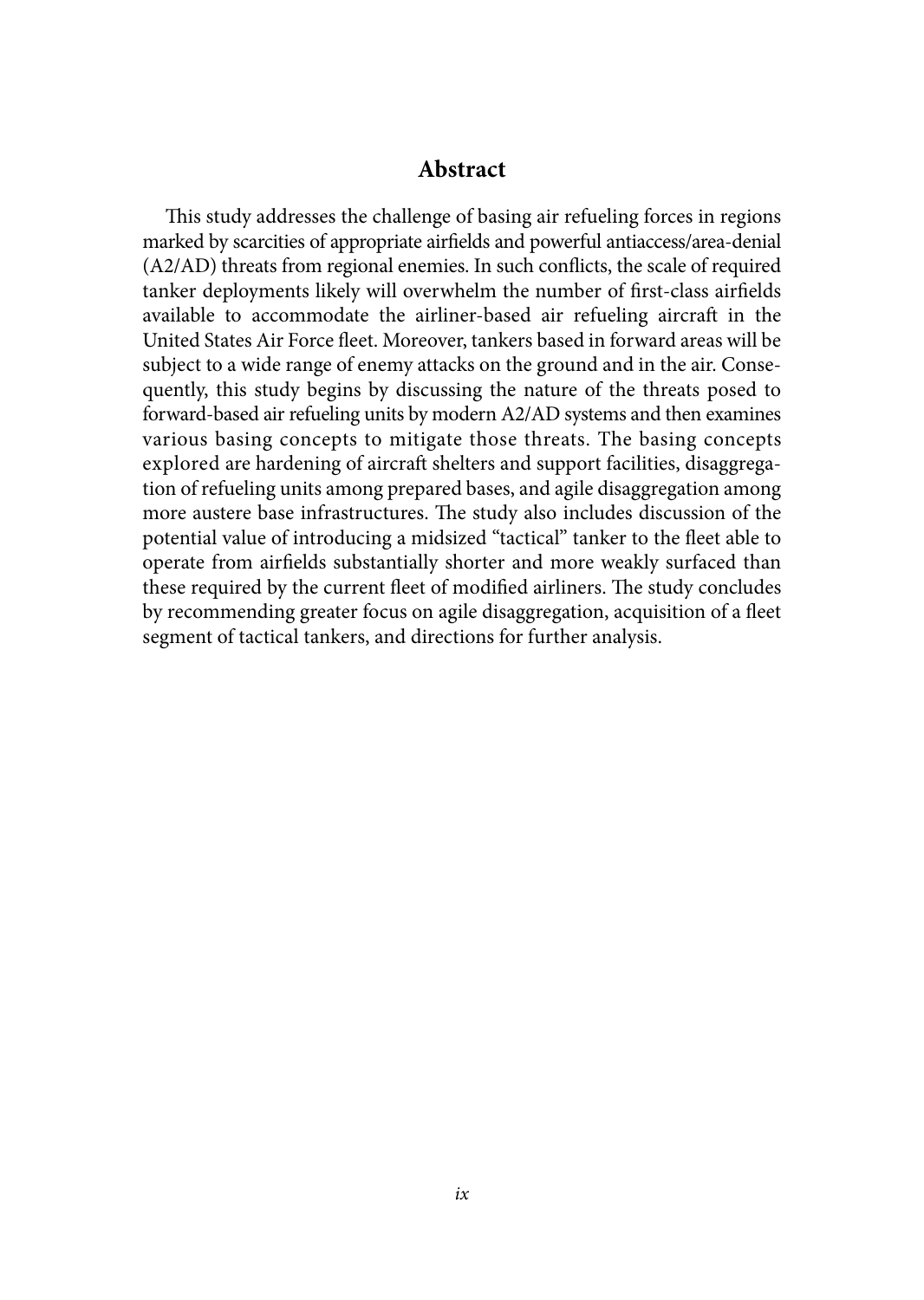## **Abstract**

This study addresses the challenge of basing air refueling forces in regions marked by scarcities of appropriate airfields and powerful antiaccess/area-denial (A2/AD) threats from regional enemies. In such conflicts, the scale of required tanker deployments likely will overwhelm the number of first-class airfields available to accommodate the airliner-based air refueling aircraft in the United States Air Force fleet. Moreover, tankers based in forward areas will be subject to a wide range of enemy attacks on the ground and in the air. Consequently, this study begins by discussing the nature of the threats posed to forward-based air refueling units by modern A2/AD systems and then examines various basing concepts to mitigate those threats. The basing concepts explored are hardening of aircraft shelters and support facilities, disaggregation of refueling units among prepared bases, and agile disaggregation among more austere base infrastructures. The study also includes discussion of the potential value of introducing a midsized "tactical" tanker to the fleet able to operate from airfields substantially shorter and more weakly surfaced than these required by the current fleet of modified airliners. The study concludes by recommending greater focus on agile disaggregation, acquisition of a fleet segment of tactical tankers, and directions for further analysis.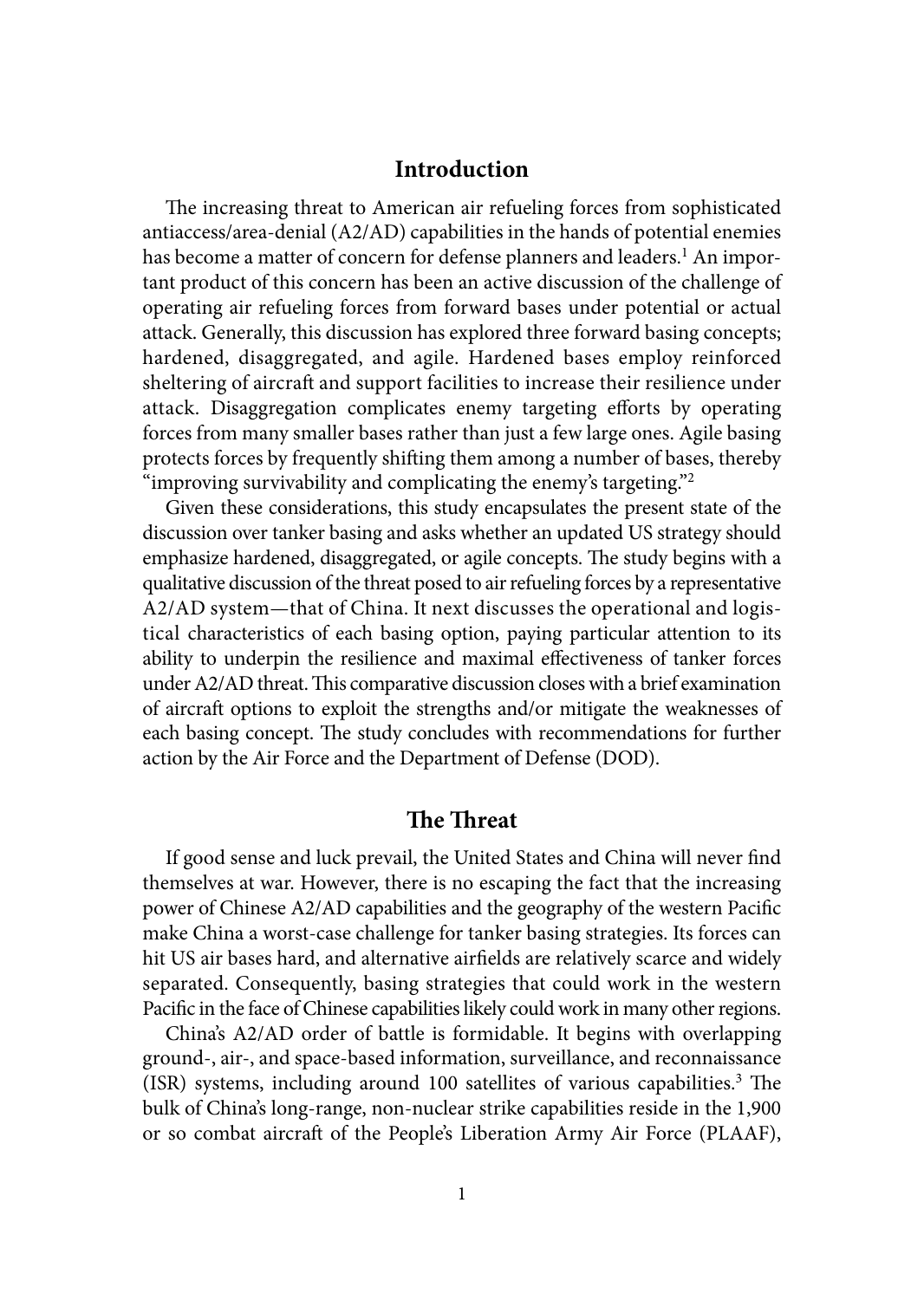## **Introduction**

The increasing threat to American air refueling forces from sophisticated antiaccess/area-denial (A2/AD) capabilities in the hands of potential enemies has become a matter of concern for defense planners and leaders.<sup>1</sup> An important product of this concern has been an active discussion of the challenge of operating air refueling forces from forward bases under potential or actual attack. Generally, this discussion has explored three forward basing concepts; hardened, disaggregated, and agile. Hardened bases employ reinforced sheltering of aircraft and support facilities to increase their resilience under attack. Disaggregation complicates enemy targeting efforts by operating forces from many smaller bases rather than just a few large ones. Agile basing protects forces by frequently shifting them among a number of bases, thereby "improving survivability and complicating the enemy's targeting."2

Given these considerations, this study encapsulates the present state of the discussion over tanker basing and asks whether an updated US strategy should emphasize hardened, disaggregated, or agile concepts. The study begins with a qualitative discussion of the threat posed to air refueling forces by a representative A2/AD system—that of China. It next discusses the operational and logistical characteristics of each basing option, paying particular attention to its ability to underpin the resilience and maximal effectiveness of tanker forces under A2/AD threat. This comparative discussion closes with a brief examination of aircraft options to exploit the strengths and/or mitigate the weaknesses of each basing concept. The study concludes with recommendations for further action by the Air Force and the Department of Defense (DOD).

## **The Threat**

If good sense and luck prevail, the United States and China will never find themselves at war. However, there is no escaping the fact that the increasing power of Chinese A2/AD capabilities and the geography of the western Pacific make China a worst-case challenge for tanker basing strategies. Its forces can hit US air bases hard, and alternative airfields are relatively scarce and widely separated. Consequently, basing strategies that could work in the western Pacific in the face of Chinese capabilities likely could work in many other regions.

China's A2/AD order of battle is formidable. It begins with overlapping ground-, air-, and space-based information, surveillance, and reconnaissance (ISR) systems, including around 100 satellites of various capabilities.3 The bulk of China's long-range, non-nuclear strike capabilities reside in the 1,900 or so combat aircraft of the People's Liberation Army Air Force (PLAAF),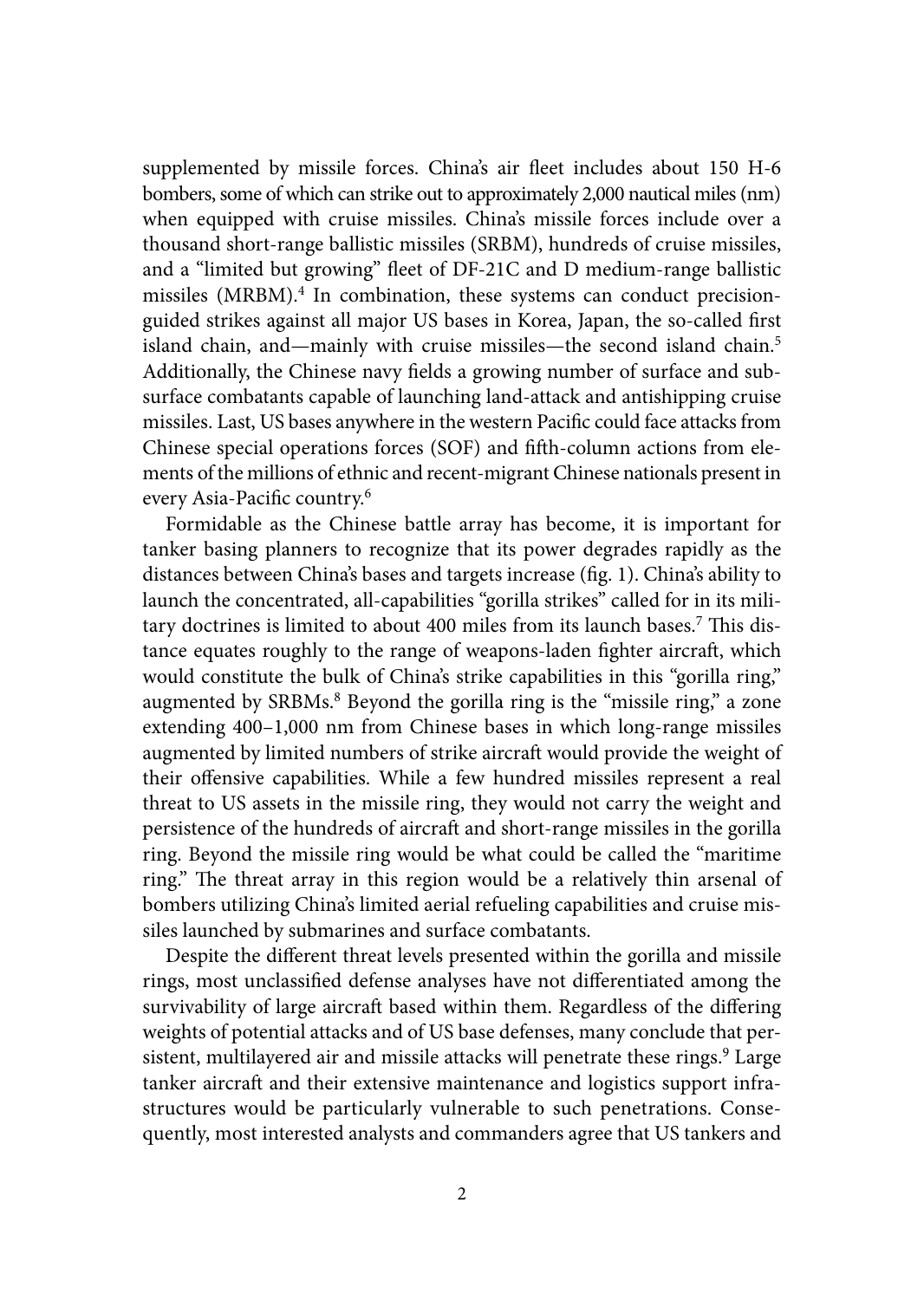supplemented by missile forces. China's air fleet includes about 150 H-6 bombers, some of which can strike out to approximately 2,000 nautical miles (nm) when equipped with cruise missiles. China's missile forces include over a thousand short-range ballistic missiles (SRBM), hundreds of cruise missiles, and a "limited but growing" fleet of DF-21C and D medium-range ballistic missiles (MRBM).<sup>4</sup> In combination, these systems can conduct precisionguided strikes against all major US bases in Korea, Japan, the so-called first island chain, and—mainly with cruise missiles—the second island chain.<sup>5</sup> Additionally, the Chinese navy fields a growing number of surface and subsurface combatants capable of launching land-attack and antishipping cruise missiles. Last, US bases anywhere in the western Pacific could face attacks from Chinese special operations forces (SOF) and fifth-column actions from elements of the millions of ethnic and recent-migrant Chinese nationals present in every Asia-Pacific country.6

Formidable as the Chinese battle array has become, it is important for tanker basing planners to recognize that its power degrades rapidly as the distances between China's bases and targets increase (fig. 1). China's ability to launch the concentrated, all-capabilities "gorilla strikes" called for in its military doctrines is limited to about 400 miles from its launch bases.<sup>7</sup> This distance equates roughly to the range of weapons-laden fighter aircraft, which would constitute the bulk of China's strike capabilities in this "gorilla ring," augmented by SRBMs.<sup>8</sup> Beyond the gorilla ring is the "missile ring," a zone extending 400–1,000 nm from Chinese bases in which long-range missiles augmented by limited numbers of strike aircraft would provide the weight of their offensive capabilities. While a few hundred missiles represent a real threat to US assets in the missile ring, they would not carry the weight and persistence of the hundreds of aircraft and short-range missiles in the gorilla ring. Beyond the missile ring would be what could be called the "maritime ring." The threat array in this region would be a relatively thin arsenal of bombers utilizing China's limited aerial refueling capabilities and cruise missiles launched by submarines and surface combatants.

Despite the different threat levels presented within the gorilla and missile rings, most unclassified defense analyses have not differentiated among the survivability of large aircraft based within them. Regardless of the differing weights of potential attacks and of US base defenses, many conclude that persistent, multilayered air and missile attacks will penetrate these rings.<sup>9</sup> Large tanker aircraft and their extensive maintenance and logistics support infrastructures would be particularly vulnerable to such penetrations. Consequently, most interested analysts and commanders agree that US tankers and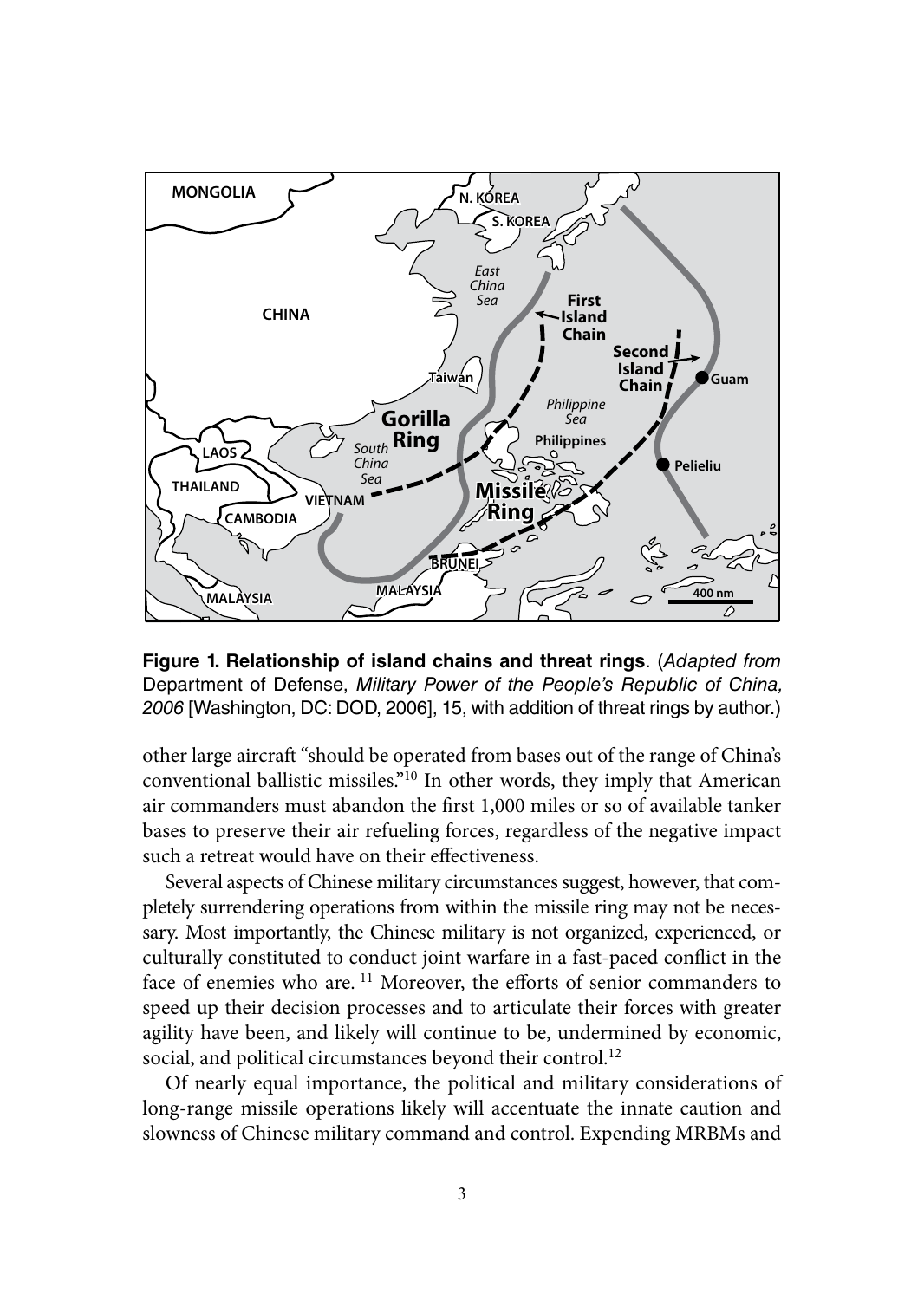

**Figure 1. Relationship of island chains and threat rings**. (*Adapted from* Department of Defense, *Military Power of the People's Republic of China, 2006* [Washington, DC: DOD, 2006], 15, with addition of threat rings by author.)

other large aircraft "should be operated from bases out of the range of China's conventional ballistic missiles."10 In other words, they imply that American air commanders must abandon the first 1,000 miles or so of available tanker bases to preserve their air refueling forces, regardless of the negative impact such a retreat would have on their effectiveness.

Several aspects of Chinese military circumstances suggest, however, that completely surrendering operations from within the missile ring may not be necessary. Most importantly, the Chinese military is not organized, experienced, or culturally constituted to conduct joint warfare in a fast-paced conflict in the face of enemies who are.<sup>11</sup> Moreover, the efforts of senior commanders to speed up their decision processes and to articulate their forces with greater agility have been, and likely will continue to be, undermined by economic, social, and political circumstances beyond their control.<sup>12</sup>

Of nearly equal importance, the political and military considerations of long-range missile operations likely will accentuate the innate caution and slowness of Chinese military command and control. Expending MRBMs and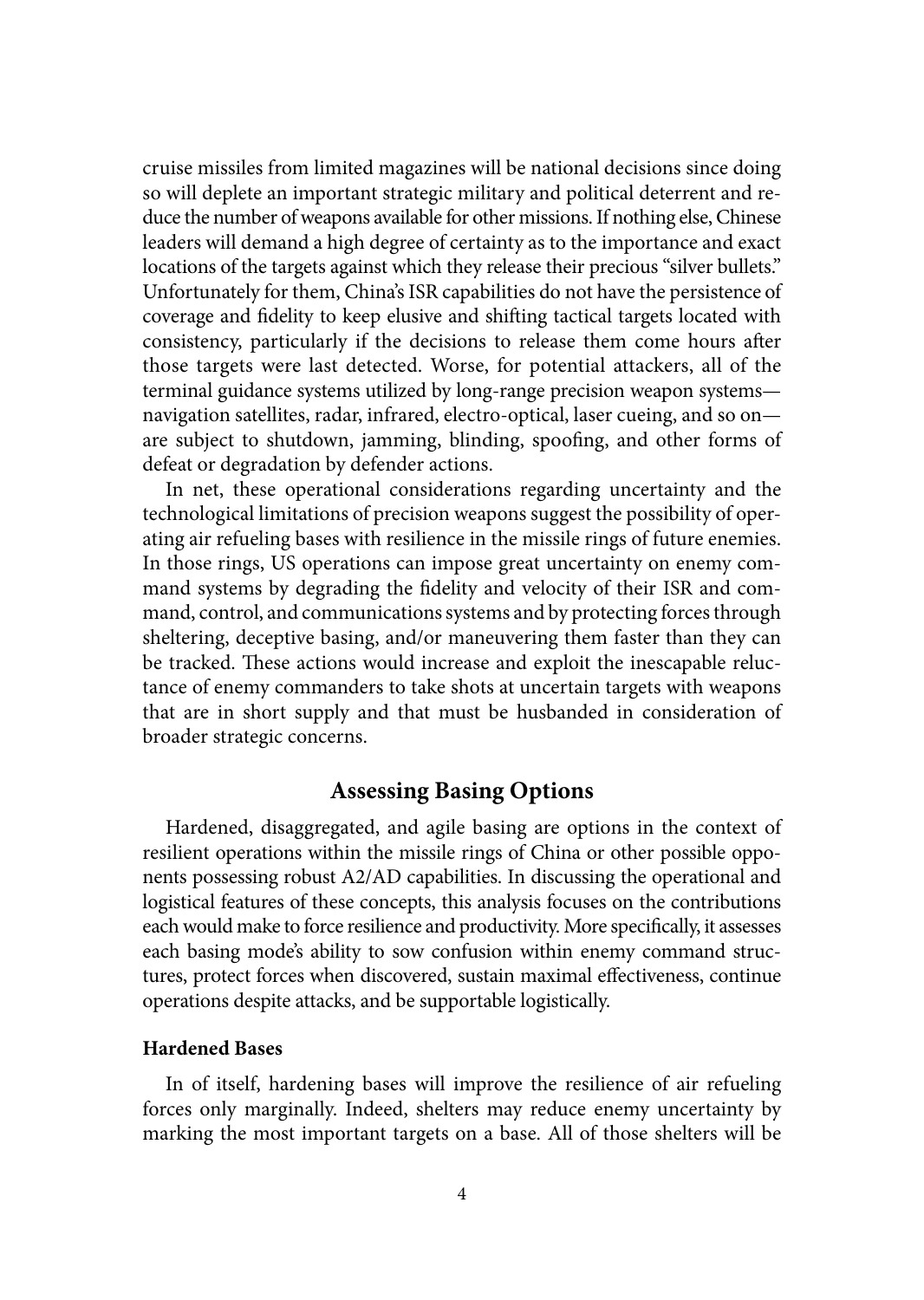cruise missiles from limited magazines will be national decisions since doing so will deplete an important strategic military and political deterrent and reduce the number of weapons available for other missions. If nothing else, Chinese leaders will demand a high degree of certainty as to the importance and exact locations of the targets against which they release their precious "silver bullets." Unfortunately for them, China's ISR capabilities do not have the persistence of coverage and fidelity to keep elusive and shifting tactical targets located with consistency, particularly if the decisions to release them come hours after those targets were last detected. Worse, for potential attackers, all of the terminal guidance systems utilized by long-range precision weapon systems navigation satellites, radar, infrared, electro-optical, laser cueing, and so on are subject to shutdown, jamming, blinding, spoofing, and other forms of defeat or degradation by defender actions.

In net, these operational considerations regarding uncertainty and the technological limitations of precision weapons suggest the possibility of operating air refueling bases with resilience in the missile rings of future enemies. In those rings, US operations can impose great uncertainty on enemy command systems by degrading the fidelity and velocity of their ISR and command, control, and communications systems and by protecting forces through sheltering, deceptive basing, and/or maneuvering them faster than they can be tracked. These actions would increase and exploit the inescapable reluctance of enemy commanders to take shots at uncertain targets with weapons that are in short supply and that must be husbanded in consideration of broader strategic concerns.

## **Assessing Basing Options**

Hardened, disaggregated, and agile basing are options in the context of resilient operations within the missile rings of China or other possible opponents possessing robust A2/AD capabilities. In discussing the operational and logistical features of these concepts, this analysis focuses on the contributions each would make to force resilience and productivity. More specifically, it assesses each basing mode's ability to sow confusion within enemy command structures, protect forces when discovered, sustain maximal effectiveness, continue operations despite attacks, and be supportable logistically.

## **Hardened Bases**

In of itself, hardening bases will improve the resilience of air refueling forces only marginally. Indeed, shelters may reduce enemy uncertainty by marking the most important targets on a base. All of those shelters will be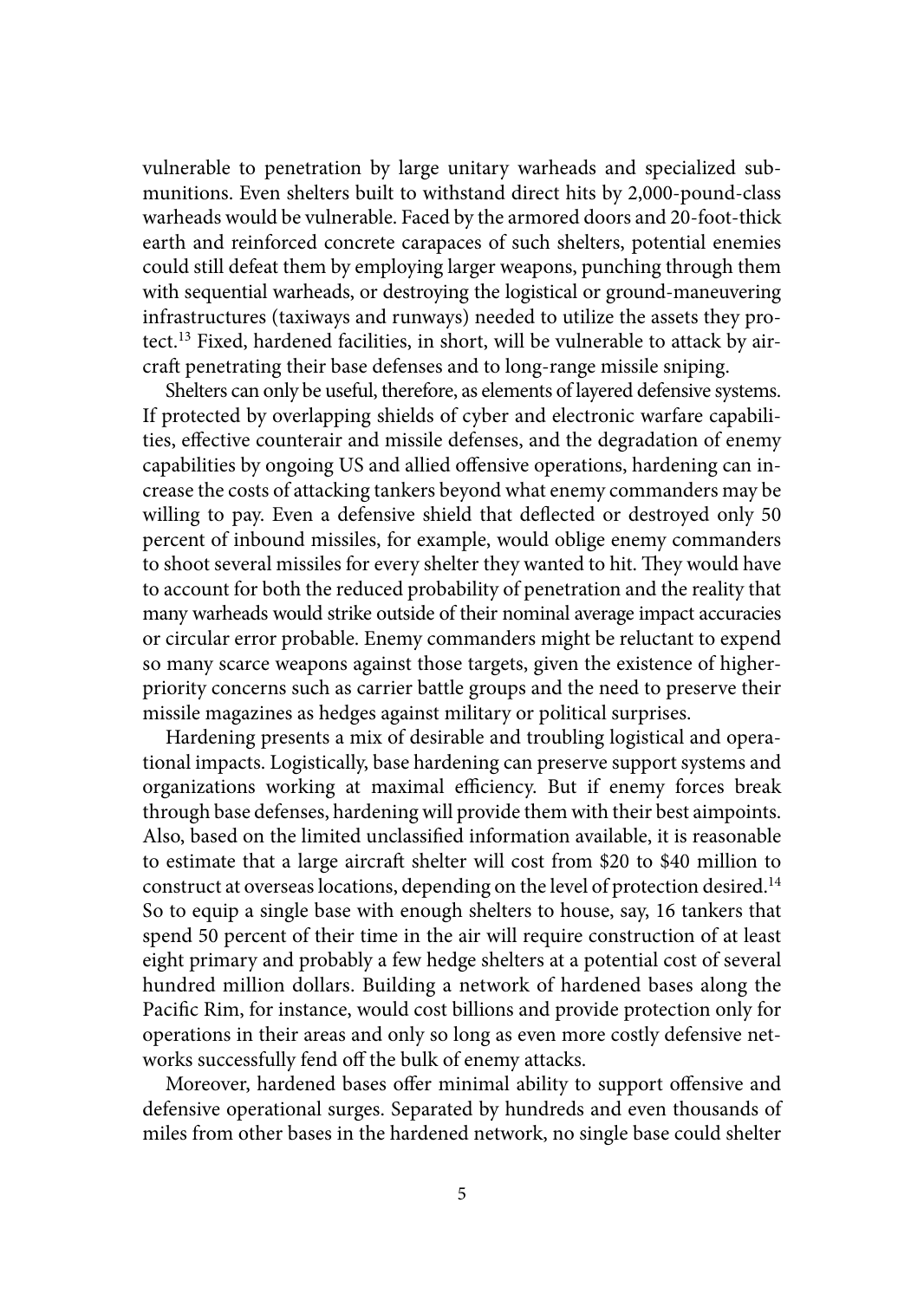vulnerable to penetration by large unitary warheads and specialized submunitions. Even shelters built to withstand direct hits by 2,000-pound-class warheads would be vulnerable. Faced by the armored doors and 20-foot-thick earth and reinforced concrete carapaces of such shelters, potential enemies could still defeat them by employing larger weapons, punching through them with sequential warheads, or destroying the logistical or ground-maneuvering infrastructures (taxiways and runways) needed to utilize the assets they protect.13 Fixed, hardened facilities, in short, will be vulnerable to attack by aircraft penetrating their base defenses and to long-range missile sniping.

Shelters can only be useful, therefore, as elements of layered defensive systems. If protected by overlapping shields of cyber and electronic warfare capabilities, effective counterair and missile defenses, and the degradation of enemy capabilities by ongoing US and allied offensive operations, hardening can increase the costs of attacking tankers beyond what enemy commanders may be willing to pay. Even a defensive shield that deflected or destroyed only 50 percent of inbound missiles, for example, would oblige enemy commanders to shoot several missiles for every shelter they wanted to hit. They would have to account for both the reduced probability of penetration and the reality that many warheads would strike outside of their nominal average impact accuracies or circular error probable. Enemy commanders might be reluctant to expend so many scarce weapons against those targets, given the existence of higherpriority concerns such as carrier battle groups and the need to preserve their missile magazines as hedges against military or political surprises.

Hardening presents a mix of desirable and troubling logistical and operational impacts. Logistically, base hardening can preserve support systems and organizations working at maximal efficiency. But if enemy forces break through base defenses, hardening will provide them with their best aimpoints. Also, based on the limited unclassified information available, it is reasonable to estimate that a large aircraft shelter will cost from \$20 to \$40 million to construct at overseas locations, depending on the level of protection desired.<sup>14</sup> So to equip a single base with enough shelters to house, say, 16 tankers that spend 50 percent of their time in the air will require construction of at least eight primary and probably a few hedge shelters at a potential cost of several hundred million dollars. Building a network of hardened bases along the Pacific Rim, for instance, would cost billions and provide protection only for operations in their areas and only so long as even more costly defensive networks successfully fend off the bulk of enemy attacks.

Moreover, hardened bases offer minimal ability to support offensive and defensive operational surges. Separated by hundreds and even thousands of miles from other bases in the hardened network, no single base could shelter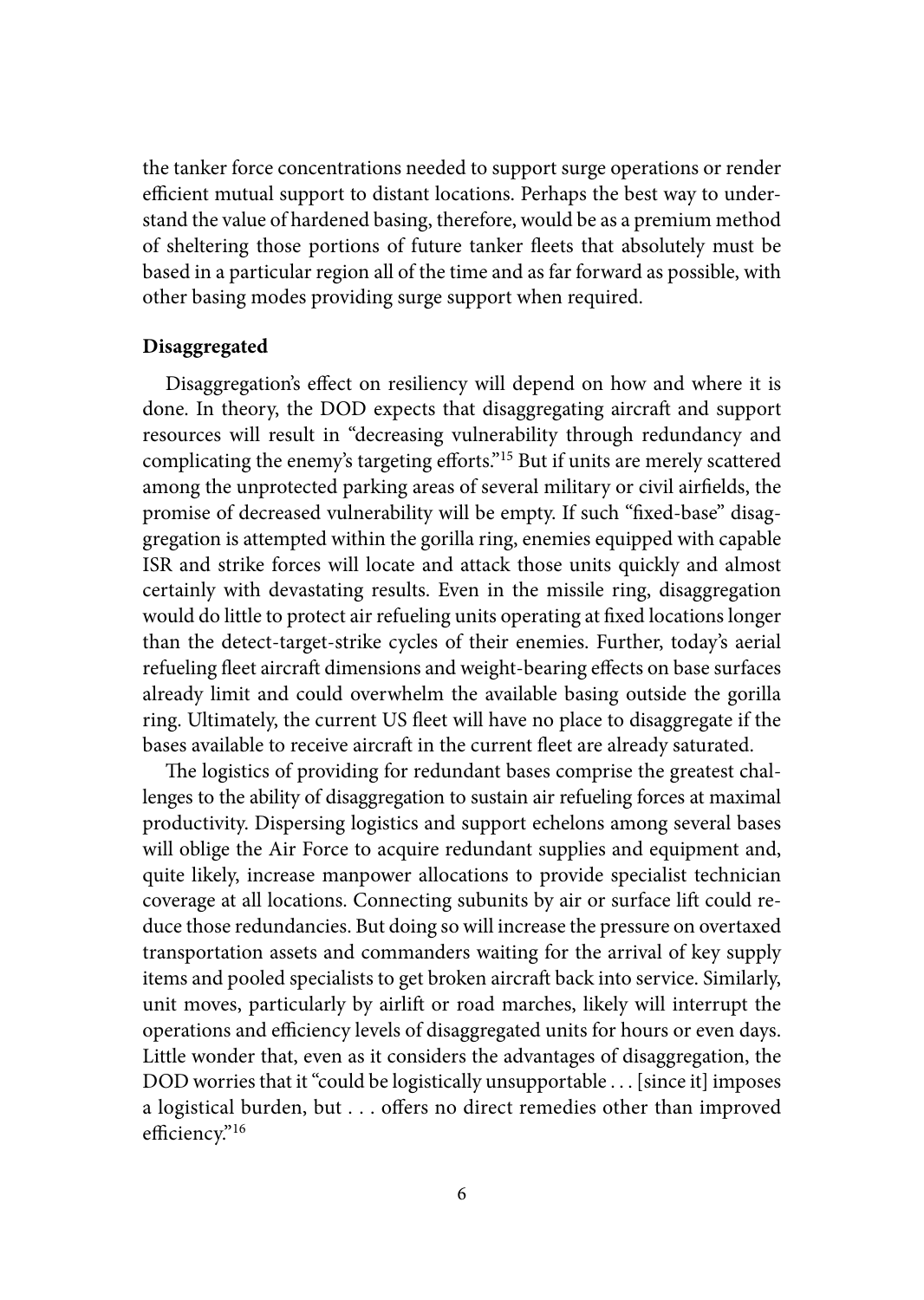the tanker force concentrations needed to support surge operations or render efficient mutual support to distant locations. Perhaps the best way to understand the value of hardened basing, therefore, would be as a premium method of sheltering those portions of future tanker fleets that absolutely must be based in a particular region all of the time and as far forward as possible, with other basing modes providing surge support when required.

#### **Disaggregated**

Disaggregation's effect on resiliency will depend on how and where it is done. In theory, the DOD expects that disaggregating aircraft and support resources will result in "decreasing vulnerability through redundancy and complicating the enemy's targeting efforts."15 But if units are merely scattered among the unprotected parking areas of several military or civil airfields, the promise of decreased vulnerability will be empty. If such "fixed-base" disaggregation is attempted within the gorilla ring, enemies equipped with capable ISR and strike forces will locate and attack those units quickly and almost certainly with devastating results. Even in the missile ring, disaggregation would do little to protect air refueling units operating at fixed locations longer than the detect-target-strike cycles of their enemies. Further, today's aerial refueling fleet aircraft dimensions and weight-bearing effects on base surfaces already limit and could overwhelm the available basing outside the gorilla ring. Ultimately, the current US fleet will have no place to disaggregate if the bases available to receive aircraft in the current fleet are already saturated.

The logistics of providing for redundant bases comprise the greatest challenges to the ability of disaggregation to sustain air refueling forces at maximal productivity. Dispersing logistics and support echelons among several bases will oblige the Air Force to acquire redundant supplies and equipment and, quite likely, increase manpower allocations to provide specialist technician coverage at all locations. Connecting subunits by air or surface lift could reduce those redundancies. But doing so will increase the pressure on overtaxed transportation assets and commanders waiting for the arrival of key supply items and pooled specialists to get broken aircraft back into service. Similarly, unit moves, particularly by airlift or road marches, likely will interrupt the operations and efficiency levels of disaggregated units for hours or even days. Little wonder that, even as it considers the advantages of disaggregation, the DOD worries that it "could be logistically unsupportable . . . [since it] imposes a logistical burden, but . . . offers no direct remedies other than improved efficiency."16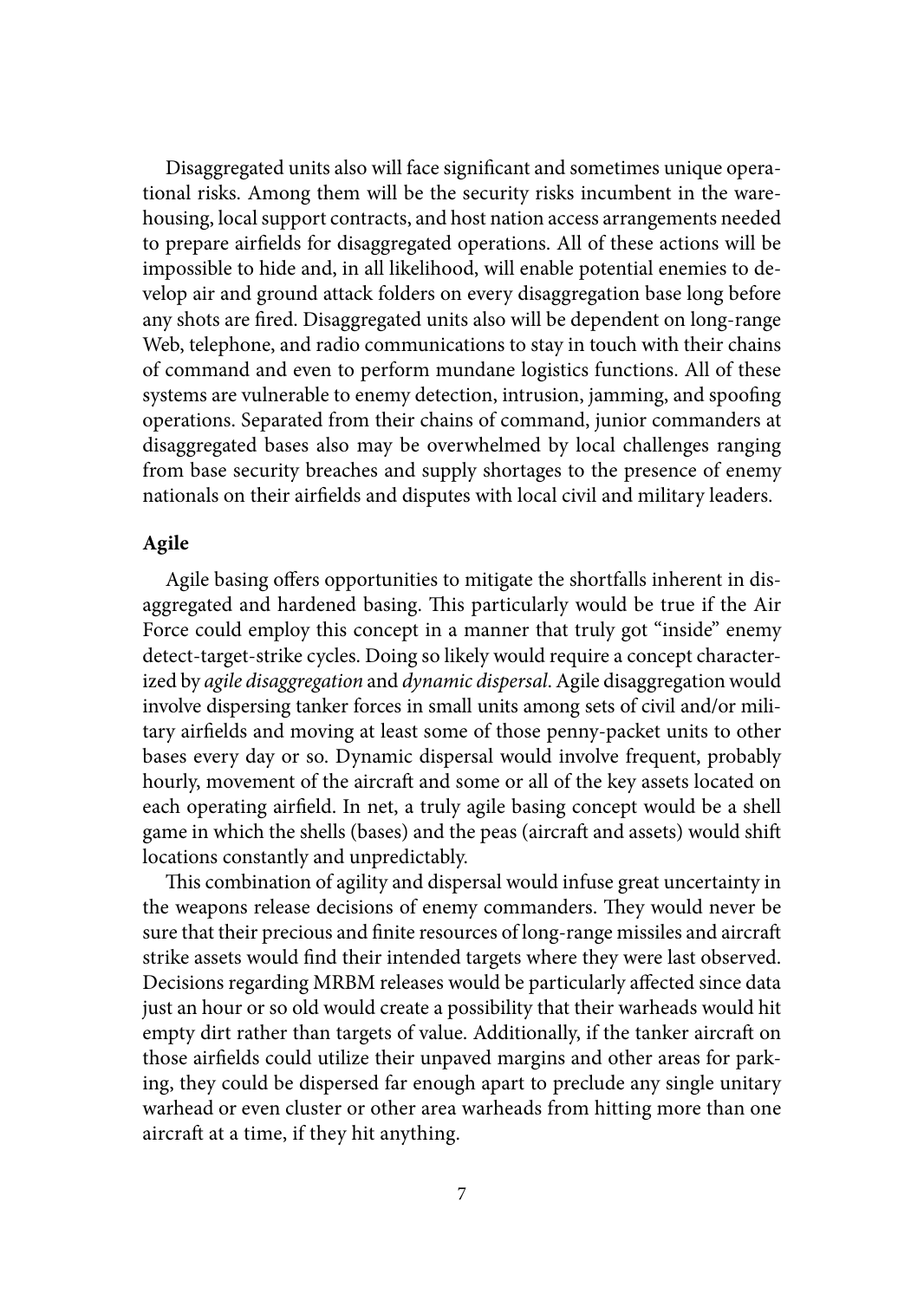Disaggregated units also will face significant and sometimes unique operational risks. Among them will be the security risks incumbent in the warehousing, local support contracts, and host nation access arrangements needed to prepare airfields for disaggregated operations. All of these actions will be impossible to hide and, in all likelihood, will enable potential enemies to develop air and ground attack folders on every disaggregation base long before any shots are fired. Disaggregated units also will be dependent on long-range Web, telephone, and radio communications to stay in touch with their chains of command and even to perform mundane logistics functions. All of these systems are vulnerable to enemy detection, intrusion, jamming, and spoofing operations. Separated from their chains of command, junior commanders at disaggregated bases also may be overwhelmed by local challenges ranging from base security breaches and supply shortages to the presence of enemy nationals on their airfields and disputes with local civil and military leaders.

## **Agile**

Agile basing offers opportunities to mitigate the shortfalls inherent in disaggregated and hardened basing. This particularly would be true if the Air Force could employ this concept in a manner that truly got "inside" enemy detect-target-strike cycles. Doing so likely would require a concept characterized by *agile disaggregation* and *dynamic dispersal*. Agile disaggregation would involve dispersing tanker forces in small units among sets of civil and/or military airfields and moving at least some of those penny-packet units to other bases every day or so. Dynamic dispersal would involve frequent, probably hourly, movement of the aircraft and some or all of the key assets located on each operating airfield. In net, a truly agile basing concept would be a shell game in which the shells (bases) and the peas (aircraft and assets) would shift locations constantly and unpredictably.

This combination of agility and dispersal would infuse great uncertainty in the weapons release decisions of enemy commanders. They would never be sure that their precious and finite resources of long-range missiles and aircraft strike assets would find their intended targets where they were last observed. Decisions regarding MRBM releases would be particularly affected since data just an hour or so old would create a possibility that their warheads would hit empty dirt rather than targets of value. Additionally, if the tanker aircraft on those airfields could utilize their unpaved margins and other areas for parking, they could be dispersed far enough apart to preclude any single unitary warhead or even cluster or other area warheads from hitting more than one aircraft at a time, if they hit anything.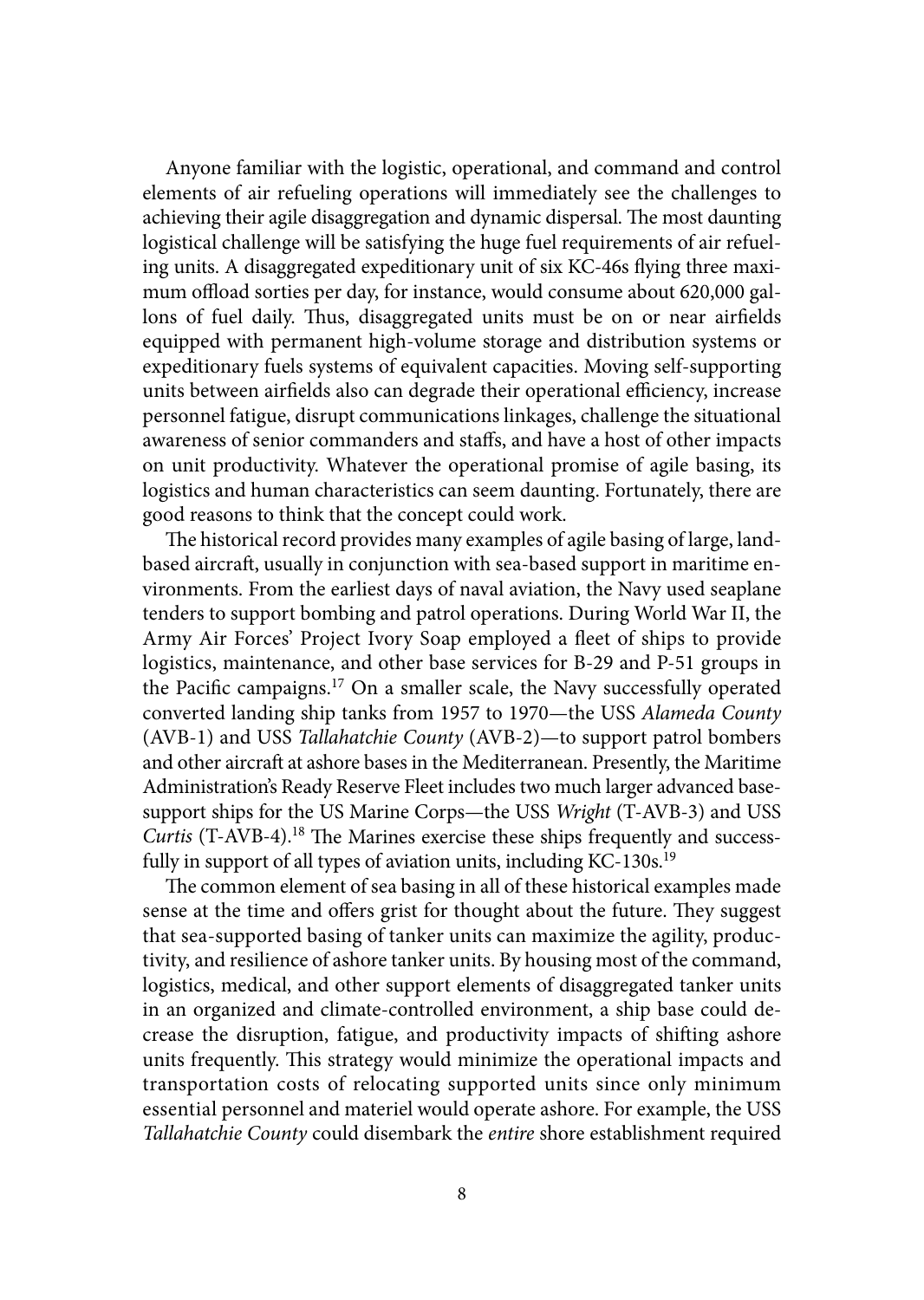Anyone familiar with the logistic, operational, and command and control elements of air refueling operations will immediately see the challenges to achieving their agile disaggregation and dynamic dispersal. The most daunting logistical challenge will be satisfying the huge fuel requirements of air refueling units. A disaggregated expeditionary unit of six KC-46s flying three maximum offload sorties per day, for instance, would consume about 620,000 gallons of fuel daily. Thus, disaggregated units must be on or near airfields equipped with permanent high-volume storage and distribution systems or expeditionary fuels systems of equivalent capacities. Moving self-supporting units between airfields also can degrade their operational efficiency, increase personnel fatigue, disrupt communications linkages, challenge the situational awareness of senior commanders and staffs, and have a host of other impacts on unit productivity. Whatever the operational promise of agile basing, its logistics and human characteristics can seem daunting. Fortunately, there are good reasons to think that the concept could work.

The historical record provides many examples of agile basing of large, landbased aircraft, usually in conjunction with sea-based support in maritime environments. From the earliest days of naval aviation, the Navy used seaplane tenders to support bombing and patrol operations. During World War II, the Army Air Forces' Project Ivory Soap employed a fleet of ships to provide logistics, maintenance, and other base services for B-29 and P-51 groups in the Pacific campaigns.17 On a smaller scale, the Navy successfully operated converted landing ship tanks from 1957 to 1970—the USS *Alameda County* (AVB-1) and USS *Tallahatchie County* (AVB-2)—to support patrol bombers and other aircraft at ashore bases in the Mediterranean. Presently, the Maritime Administration's Ready Reserve Fleet includes two much larger advanced basesupport ships for the US Marine Corps—the USS *Wright* (T-AVB-3) and USS *Curtis* (T-AVB-4).<sup>18</sup> The Marines exercise these ships frequently and successfully in support of all types of aviation units, including KC-130s.<sup>19</sup>

The common element of sea basing in all of these historical examples made sense at the time and offers grist for thought about the future. They suggest that sea-supported basing of tanker units can maximize the agility, productivity, and resilience of ashore tanker units. By housing most of the command, logistics, medical, and other support elements of disaggregated tanker units in an organized and climate-controlled environment, a ship base could decrease the disruption, fatigue, and productivity impacts of shifting ashore units frequently. This strategy would minimize the operational impacts and transportation costs of relocating supported units since only minimum essential personnel and materiel would operate ashore. For example, the USS *Tallahatchie County* could disembark the *entire* shore establishment required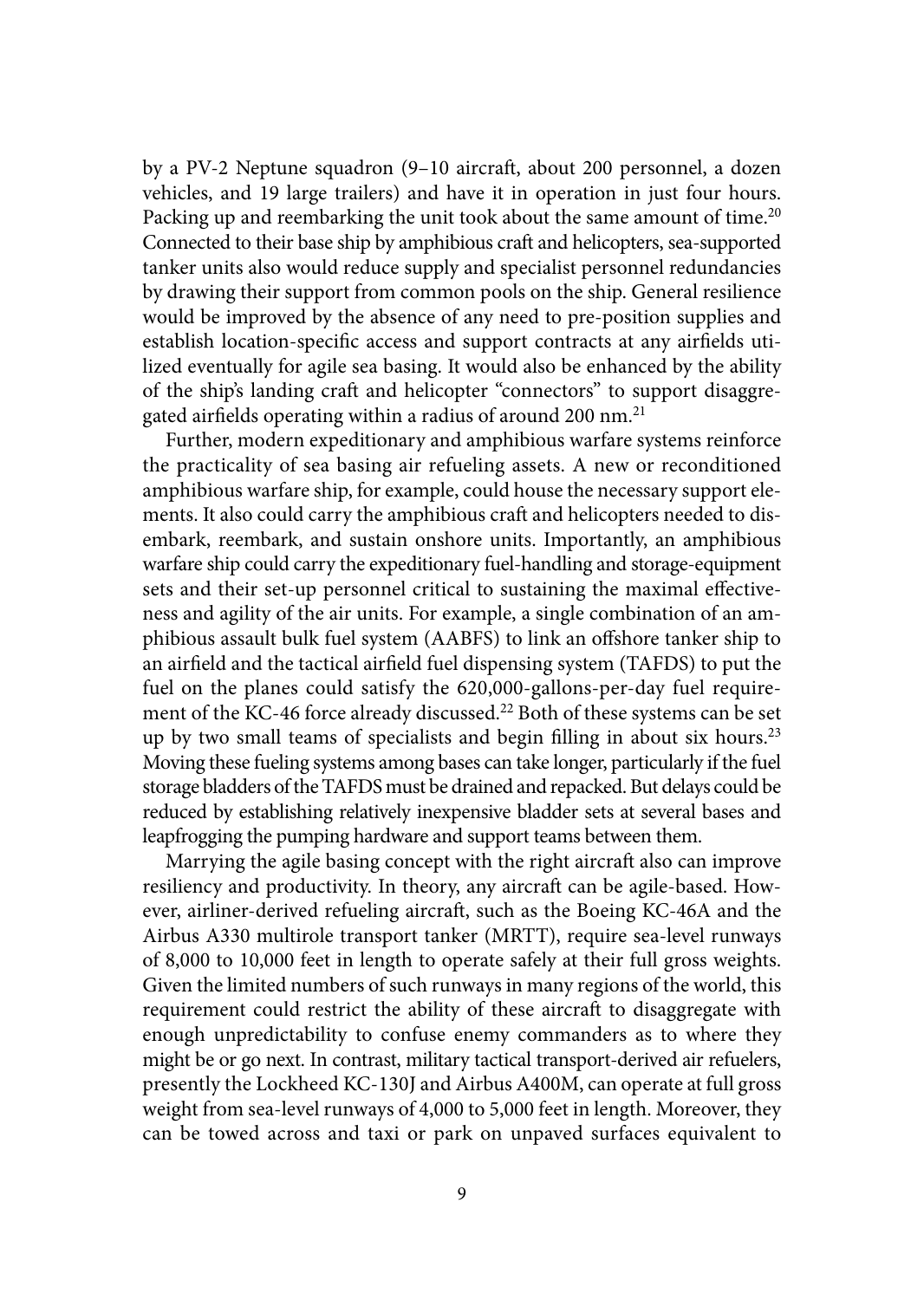by a PV-2 Neptune squadron (9–10 aircraft, about 200 personnel, a dozen vehicles, and 19 large trailers) and have it in operation in just four hours. Packing up and reembarking the unit took about the same amount of time.<sup>20</sup> Connected to their base ship by amphibious craft and helicopters, sea-supported tanker units also would reduce supply and specialist personnel redundancies by drawing their support from common pools on the ship. General resilience would be improved by the absence of any need to pre-position supplies and establish location-specific access and support contracts at any airfields utilized eventually for agile sea basing. It would also be enhanced by the ability of the ship's landing craft and helicopter "connectors" to support disaggregated airfields operating within a radius of around 200 nm.<sup>21</sup>

Further, modern expeditionary and amphibious warfare systems reinforce the practicality of sea basing air refueling assets. A new or reconditioned amphibious warfare ship, for example, could house the necessary support elements. It also could carry the amphibious craft and helicopters needed to disembark, reembark, and sustain onshore units. Importantly, an amphibious warfare ship could carry the expeditionary fuel-handling and storage-equipment sets and their set-up personnel critical to sustaining the maximal effectiveness and agility of the air units. For example, a single combination of an amphibious assault bulk fuel system (AABFS) to link an offshore tanker ship to an airfield and the tactical airfield fuel dispensing system (TAFDS) to put the fuel on the planes could satisfy the 620,000-gallons-per-day fuel requirement of the KC-46 force already discussed.<sup>22</sup> Both of these systems can be set up by two small teams of specialists and begin filling in about six hours.<sup>23</sup> Moving these fueling systems among bases can take longer, particularly if the fuel storage bladders of the TAFDS must be drained and repacked. But delays could be reduced by establishing relatively inexpensive bladder sets at several bases and leapfrogging the pumping hardware and support teams between them.

Marrying the agile basing concept with the right aircraft also can improve resiliency and productivity. In theory, any aircraft can be agile-based. However, airliner-derived refueling aircraft, such as the Boeing KC-46A and the Airbus A330 multirole transport tanker (MRTT), require sea-level runways of 8,000 to 10,000 feet in length to operate safely at their full gross weights. Given the limited numbers of such runways in many regions of the world, this requirement could restrict the ability of these aircraft to disaggregate with enough unpredictability to confuse enemy commanders as to where they might be or go next. In contrast, military tactical transport-derived air refuelers, presently the Lockheed KC-130J and Airbus A400M, can operate at full gross weight from sea-level runways of 4,000 to 5,000 feet in length. Moreover, they can be towed across and taxi or park on unpaved surfaces equivalent to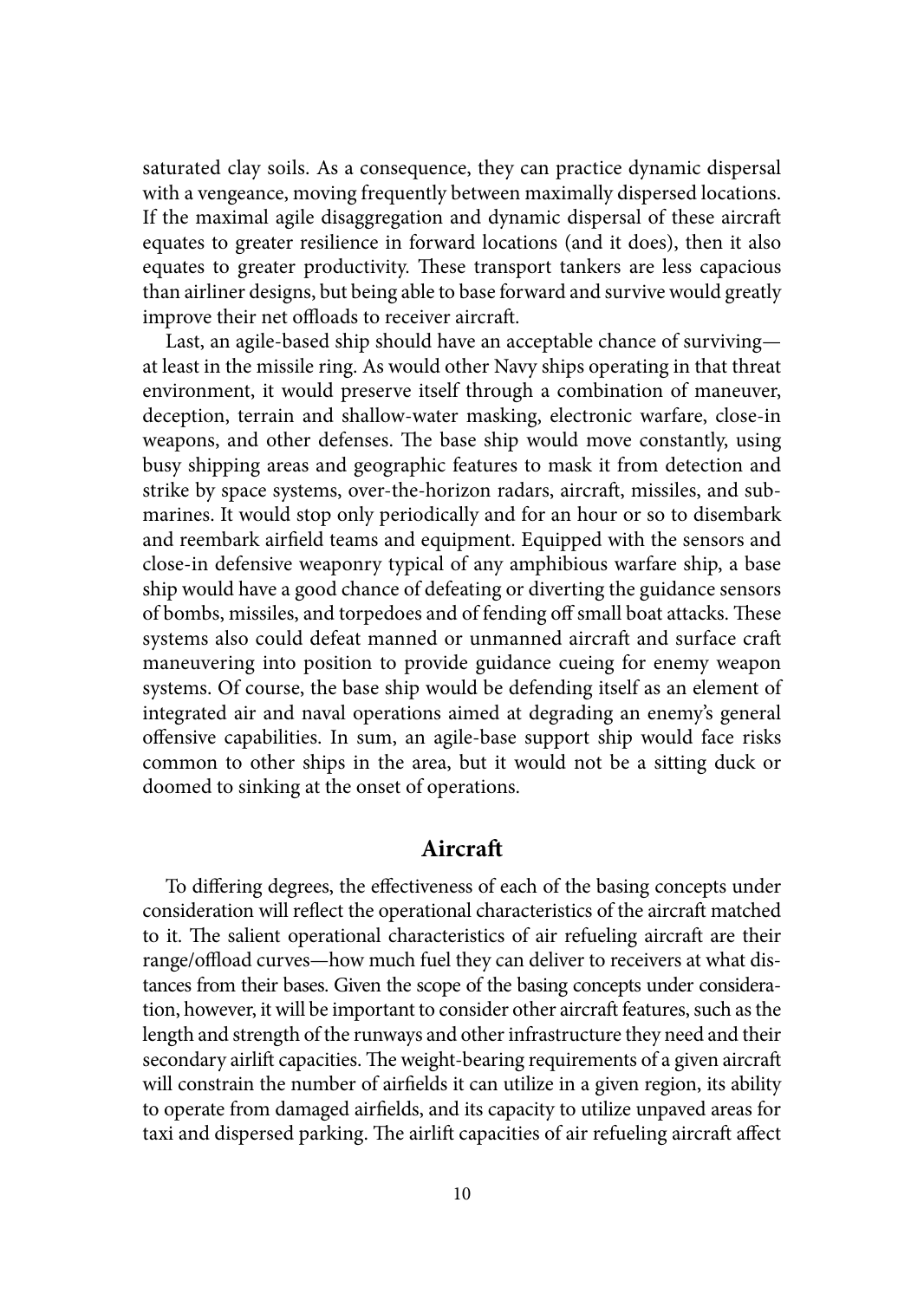saturated clay soils. As a consequence, they can practice dynamic dispersal with a vengeance, moving frequently between maximally dispersed locations. If the maximal agile disaggregation and dynamic dispersal of these aircraft equates to greater resilience in forward locations (and it does), then it also equates to greater productivity. These transport tankers are less capacious than airliner designs, but being able to base forward and survive would greatly improve their net offloads to receiver aircraft.

Last, an agile-based ship should have an acceptable chance of surviving at least in the missile ring. As would other Navy ships operating in that threat environment, it would preserve itself through a combination of maneuver, deception, terrain and shallow-water masking, electronic warfare, close-in weapons, and other defenses. The base ship would move constantly, using busy shipping areas and geographic features to mask it from detection and strike by space systems, over-the-horizon radars, aircraft, missiles, and submarines. It would stop only periodically and for an hour or so to disembark and reembark airfield teams and equipment. Equipped with the sensors and close-in defensive weaponry typical of any amphibious warfare ship, a base ship would have a good chance of defeating or diverting the guidance sensors of bombs, missiles, and torpedoes and of fending off small boat attacks. These systems also could defeat manned or unmanned aircraft and surface craft maneuvering into position to provide guidance cueing for enemy weapon systems. Of course, the base ship would be defending itself as an element of integrated air and naval operations aimed at degrading an enemy's general offensive capabilities. In sum, an agile-base support ship would face risks common to other ships in the area, but it would not be a sitting duck or doomed to sinking at the onset of operations.

## **Aircraft**

To differing degrees, the effectiveness of each of the basing concepts under consideration will reflect the operational characteristics of the aircraft matched to it. The salient operational characteristics of air refueling aircraft are their range/offload curves—how much fuel they can deliver to receivers at what distances from their bases. Given the scope of the basing concepts under consideration, however, it will be important to consider other aircraft features, such as the length and strength of the runways and other infrastructure they need and their secondary airlift capacities. The weight-bearing requirements of a given aircraft will constrain the number of airfields it can utilize in a given region, its ability to operate from damaged airfields, and its capacity to utilize unpaved areas for taxi and dispersed parking. The airlift capacities of air refueling aircraft affect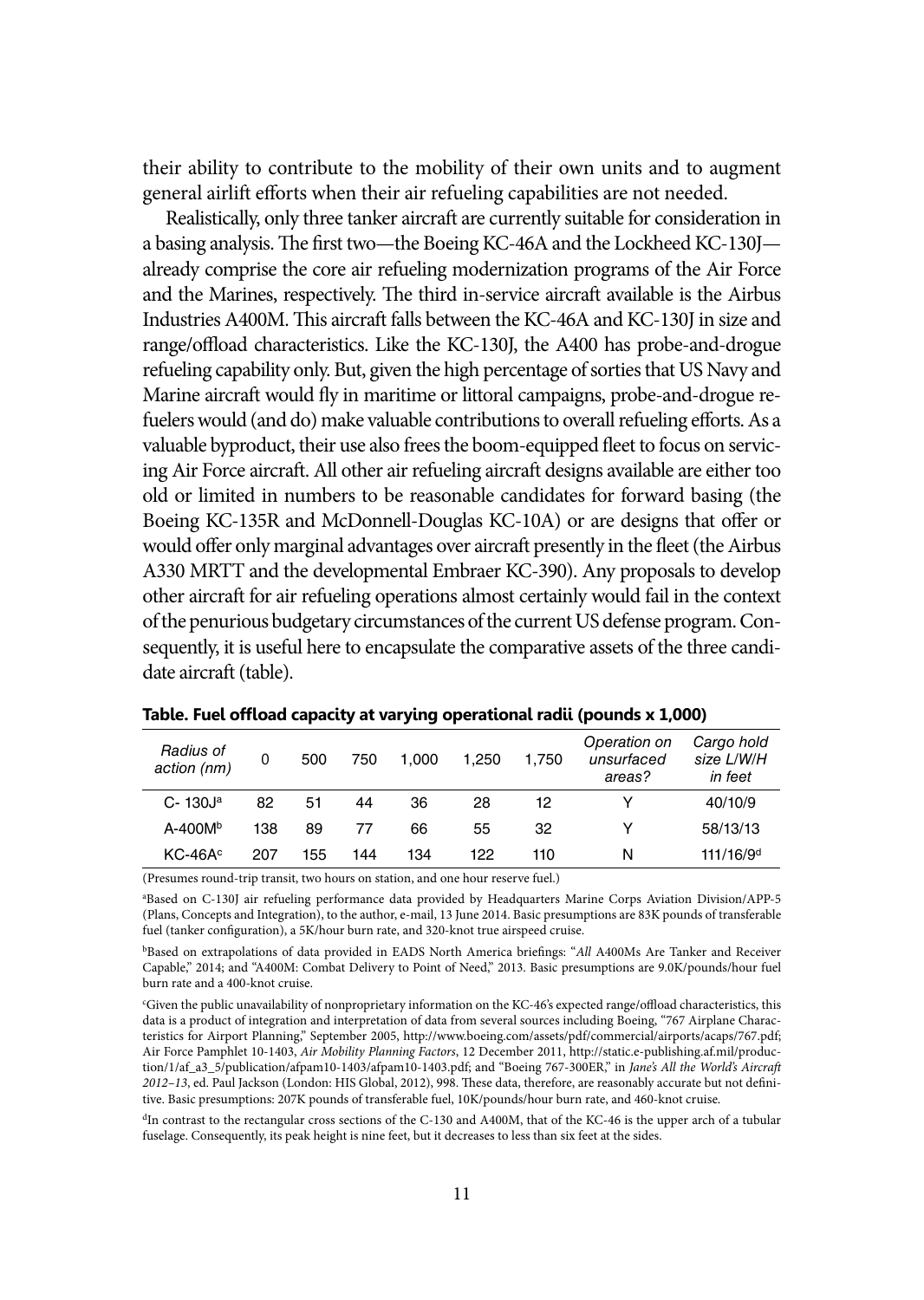their ability to contribute to the mobility of their own units and to augment general airlift efforts when their air refueling capabilities are not needed.

Realistically, only three tanker aircraft are currently suitable for consideration in a basing analysis. The first two—the Boeing KC-46A and the Lockheed KC-130J already comprise the core air refueling modernization programs of the Air Force and the Marines, respectively. The third in-service aircraft available is the Airbus Industries A400M. This aircraft falls between the KC-46A and KC-130J in size and range/offload characteristics. Like the KC-130J, the A400 has probe-and-drogue refueling capability only. But, given the high percentage of sorties that US Navy and Marine aircraft would fly in maritime or littoral campaigns, probe-and-drogue refuelers would (and do) make valuable contributions to overall refueling efforts. As a valuable byproduct, their use also frees the boom-equipped fleet to focus on servicing Air Force aircraft. All other air refueling aircraft designs available are either too old or limited in numbers to be reasonable candidates for forward basing (the Boeing KC-135R and McDonnell-Douglas KC-10A) or are designs that offer or would offer only marginal advantages over aircraft presently in the fleet (the Airbus A330 MRTT and the developmental Embraer KC-390). Any proposals to develop other aircraft for air refueling operations almost certainly would fail in the context of the penurious budgetary circumstances of the current US defense program. Consequently, it is useful here to encapsulate the comparative assets of the three candidate aircraft (table).

| Radius of<br>action (nm) | 0   | 500 | 750 | 1.000 | 1.250 | 1.750 | Operation on<br>unsurfaced<br>areas? | Cargo hold<br>size L/W/H<br>in feet |
|--------------------------|-----|-----|-----|-------|-------|-------|--------------------------------------|-------------------------------------|
| $C - 130Ja$              | 82  | 51  | 44  | 36    | 28    | 12    | v                                    | 40/10/9                             |
| $A - 400Mb$              | 138 | 89  | 77  | 66    | 55    | 32    | v                                    | 58/13/13                            |
| $KC-46Ac$                | 207 | 155 | 144 | 134   | 122   | 110   | N                                    | 111/16/9 <sup>d</sup>               |

| Table. Fuel offload capacity at varying operational radii (pounds x 1,000) |  |
|----------------------------------------------------------------------------|--|
|----------------------------------------------------------------------------|--|

(Presumes round-trip transit, two hours on station, and one hour reserve fuel.)

a Based on C-130J air refueling performance data provided by Headquarters Marine Corps Aviation Division/APP-5 (Plans, Concepts and Integration), to the author, e-mail, 13 June 2014. Basic presumptions are 83K pounds of transferable fuel (tanker configuration), a 5K/hour burn rate, and 320-knot true airspeed cruise.

bBased on extrapolations of data provided in EADS North America briefings: "*All* A400Ms Are Tanker and Receiver Capable," 2014; and "A400M: Combat Delivery to Point of Need," 2013. Basic presumptions are <9.0K/pounds/hour> fuel burn rate and a 400-knot cruise.

<sup>d</sup>In contrast to the rectangular cross sections of the C-130 and A400M, that of the KC-46 is the upper arch of a tubular fuselage. Consequently, its peak height is nine feet, but it decreases to less than six feet at the sides.

c Given the public unavailability of nonproprietary information on the KC-46's expected range/offload characteristics, this data is a product of integration and interpretation of data from several sources including Boeing, "767 Airplane Characteristics for Airport Planning," September 2005, <http://www.boeing.com/assets/pdf/commercial/airports/acaps/767.pdf>; Air Force Pamphlet 10-1403, *Air Mobility Planning Factors*, 12 December 2011, [http://static.e-publishing.af.mil/produc](http://static.e-publishing.af.mil/production/1/af_a3_5/publication/afpam10-1403/afpam10-1403.pdf)[tion/1/af\\_a3\\_5/publication/afpam10-1403/afpam10-1403.pdf](http://static.e-publishing.af.mil/production/1/af_a3_5/publication/afpam10-1403/afpam10-1403.pdf); and "Boeing 767-300ER," in *Jane's All the World's Aircraft 2012–13*, ed. Paul Jackson (London: HIS Global, 2012), 998. These data, therefore, are reasonably accurate but not definitive. Basic presumptions: 207K pounds of transferable fuel, 10K/pounds/hour burn rate, and 460-knot cruise.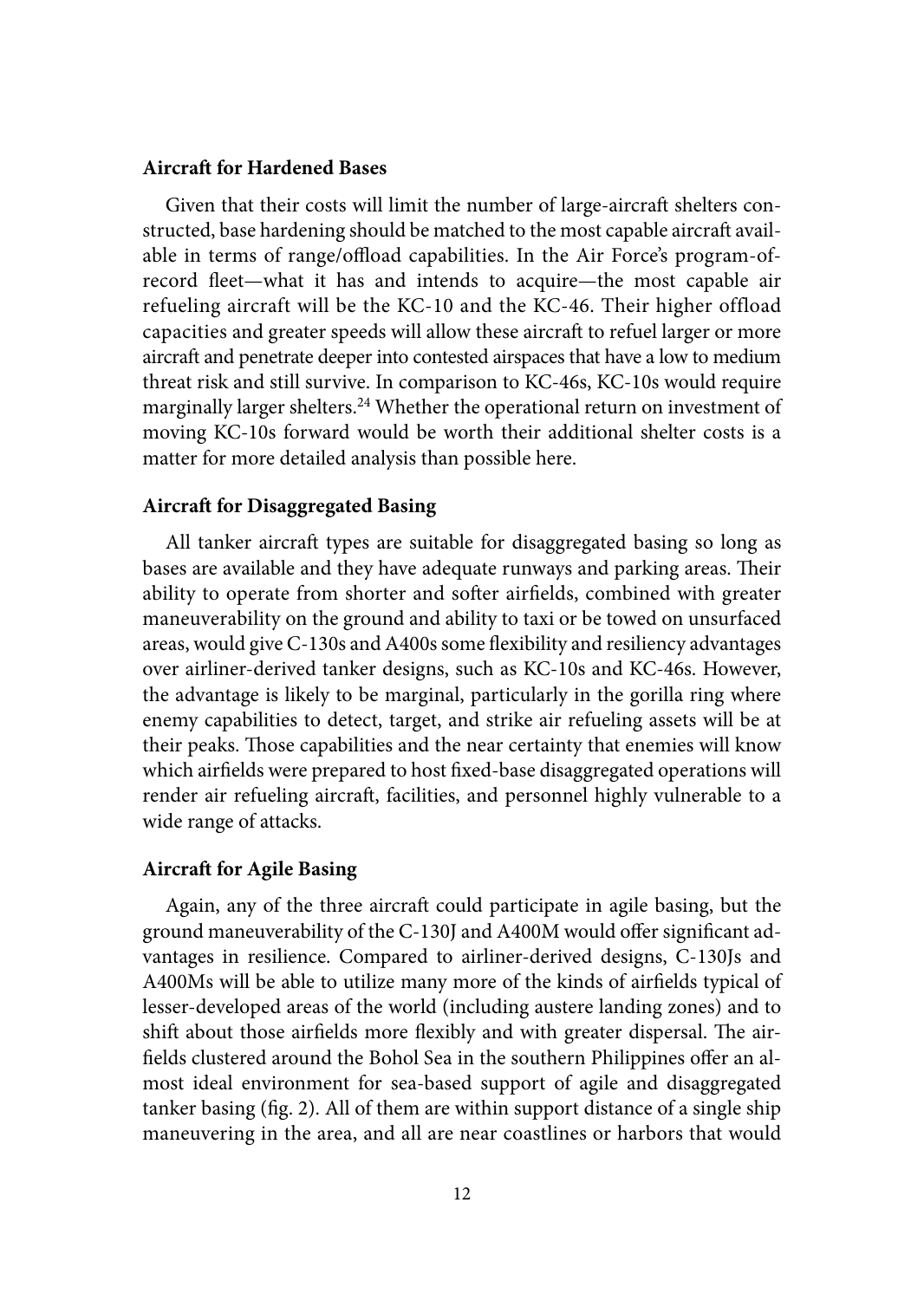#### **Aircraft for Hardened Bases**

Given that their costs will limit the number of large-aircraft shelters constructed, base hardening should be matched to the most capable aircraft available in terms of range/offload capabilities. In the Air Force's program-ofrecord fleet—what it has and intends to acquire—the most capable air refueling aircraft will be the KC-10 and the KC-46. Their higher offload capacities and greater speeds will allow these aircraft to refuel larger or more aircraft and penetrate deeper into contested airspaces that have a low to medium threat risk and still survive. In comparison to KC-46s, KC-10s would require marginally larger shelters.<sup>24</sup> Whether the operational return on investment of moving KC-10s forward would be worth their additional shelter costs is a matter for more detailed analysis than possible here.

### **Aircraft for Disaggregated Basing**

All tanker aircraft types are suitable for disaggregated basing so long as bases are available and they have adequate runways and parking areas. Their ability to operate from shorter and softer airfields, combined with greater maneuverability on the ground and ability to taxi or be towed on unsurfaced areas, would give C-130s and A400s some flexibility and resiliency advantages over airliner-derived tanker designs, such as KC-10s and KC-46s. However, the advantage is likely to be marginal, particularly in the gorilla ring where enemy capabilities to detect, target, and strike air refueling assets will be at their peaks. Those capabilities and the near certainty that enemies will know which airfields were prepared to host fixed-base disaggregated operations will render air refueling aircraft, facilities, and personnel highly vulnerable to a wide range of attacks.

#### **Aircraft for Agile Basing**

Again, any of the three aircraft could participate in agile basing, but the ground maneuverability of the C-130J and A400M would offer significant advantages in resilience. Compared to airliner-derived designs, C-130Js and A400Ms will be able to utilize many more of the kinds of airfields typical of lesser-developed areas of the world (including austere landing zones) and to shift about those airfields more flexibly and with greater dispersal. The airfields clustered around the Bohol Sea in the southern Philippines offer an almost ideal environment for sea-based support of agile and disaggregated tanker basing (fig. 2). All of them are within support distance of a single ship maneuvering in the area, and all are near coastlines or harbors that would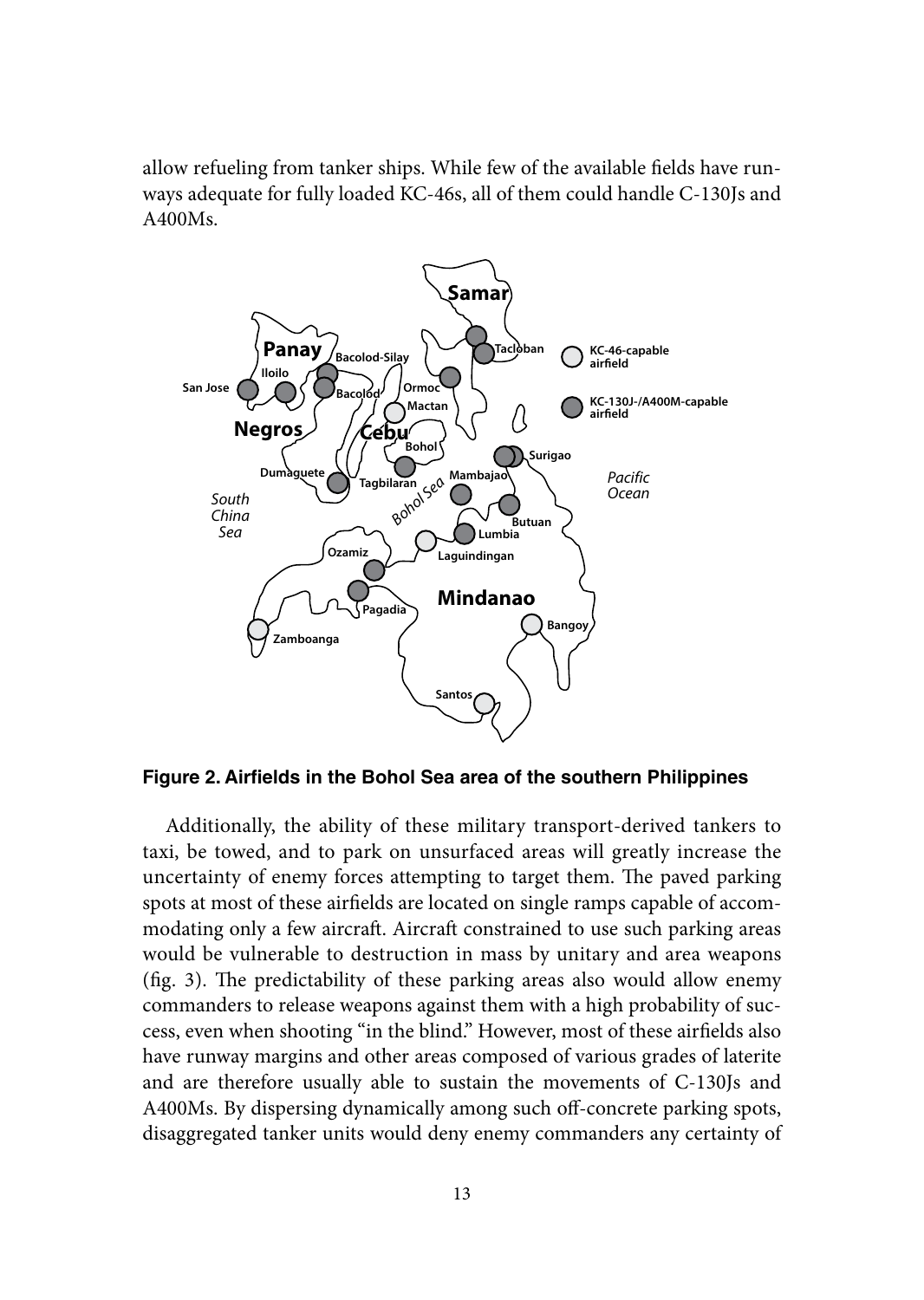allow refueling from tanker ships. While few of the available fields have runways adequate for fully loaded KC-46s, all of them could handle C-130Js and A400Ms.



**Figure 2. Airfields in the Bohol Sea area of the southern Philippines**

Additionally, the ability of these military transport-derived tankers to taxi, be towed, and to park on unsurfaced areas will greatly increase the uncertainty of enemy forces attempting to target them. The paved parking spots at most of these airfields are located on single ramps capable of accommodating only a few aircraft. Aircraft constrained to use such parking areas would be vulnerable to destruction in mass by unitary and area weapons (fig. 3). The predictability of these parking areas also would allow enemy commanders to release weapons against them with a high probability of success, even when shooting "in the blind." However, most of these airfields also have runway margins and other areas composed of various grades of laterite and are therefore usually able to sustain the movements of C-130Js and A400Ms. By dispersing dynamically among such off-concrete parking spots, disaggregated tanker units would deny enemy commanders any certainty of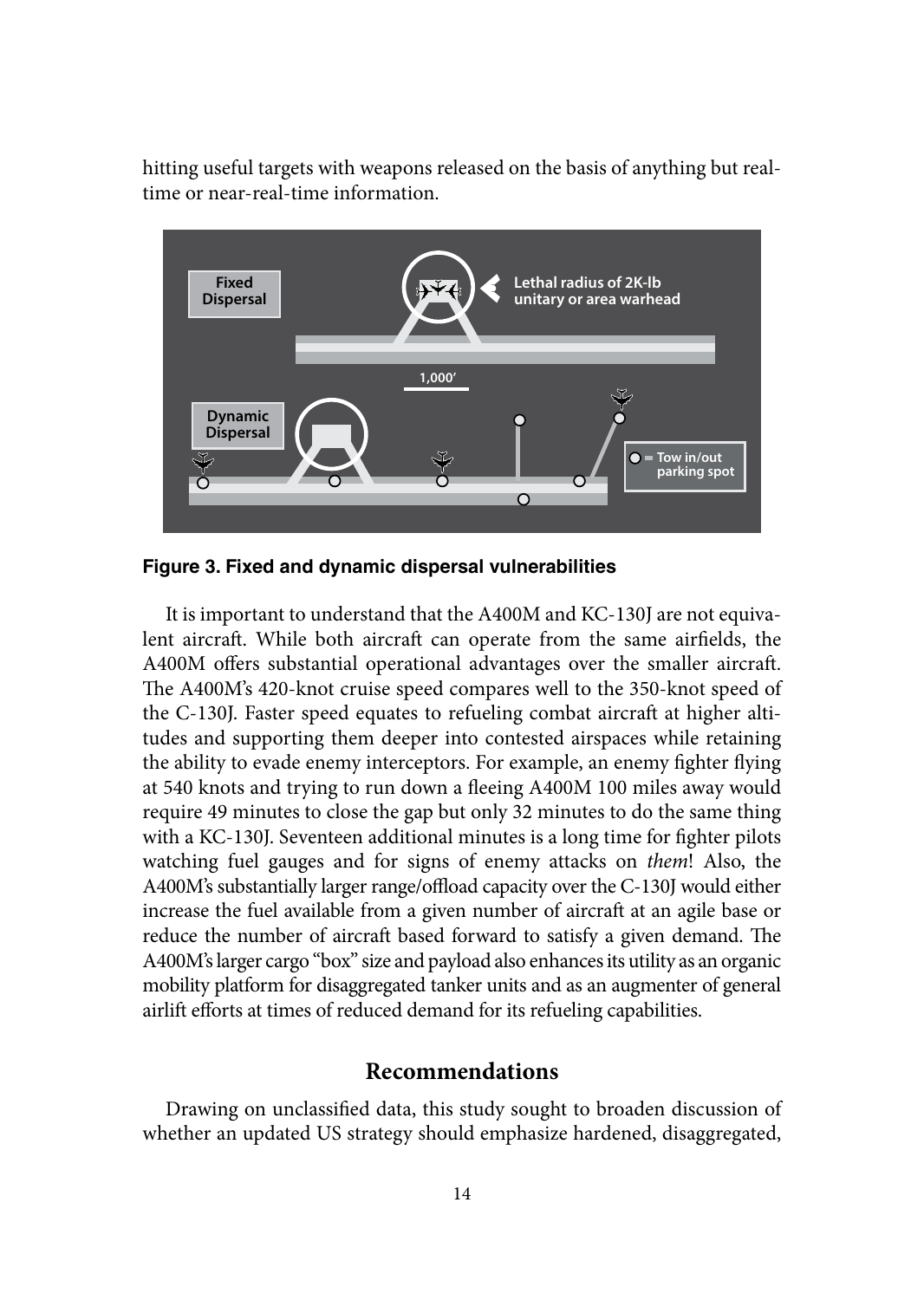hitting useful targets with weapons released on the basis of anything but realtime or near-real-time information.



**Figure 3. Fixed and dynamic dispersal vulnerabilities**

It is important to understand that the A400M and KC-130J are not equivalent aircraft. While both aircraft can operate from the same airfields, the A400M offers substantial operational advantages over the smaller aircraft. The A400M's 420-knot cruise speed compares well to the 350-knot speed of the C-130J. Faster speed equates to refueling combat aircraft at higher altitudes and supporting them deeper into contested airspaces while retaining the ability to evade enemy interceptors. For example, an enemy fighter flying at 540 knots and trying to run down a fleeing A400M 100 miles away would require 49 minutes to close the gap but only 32 minutes to do the same thing with a KC-130J. Seventeen additional minutes is a long time for fighter pilots watching fuel gauges and for signs of enemy attacks on *them*! Also, the A400M's substantially larger range/offload capacity over the C-130J would either increase the fuel available from a given number of aircraft at an agile base or reduce the number of aircraft based forward to satisfy a given demand. The A400M's larger cargo "box" size and payload also enhances its utility as an organic mobility platform for disaggregated tanker units and as an augmenter of general airlift efforts at times of reduced demand for its refueling capabilities.

## **Recommendations**

Drawing on unclassified data, this study sought to broaden discussion of whether an updated US strategy should emphasize hardened, disaggregated,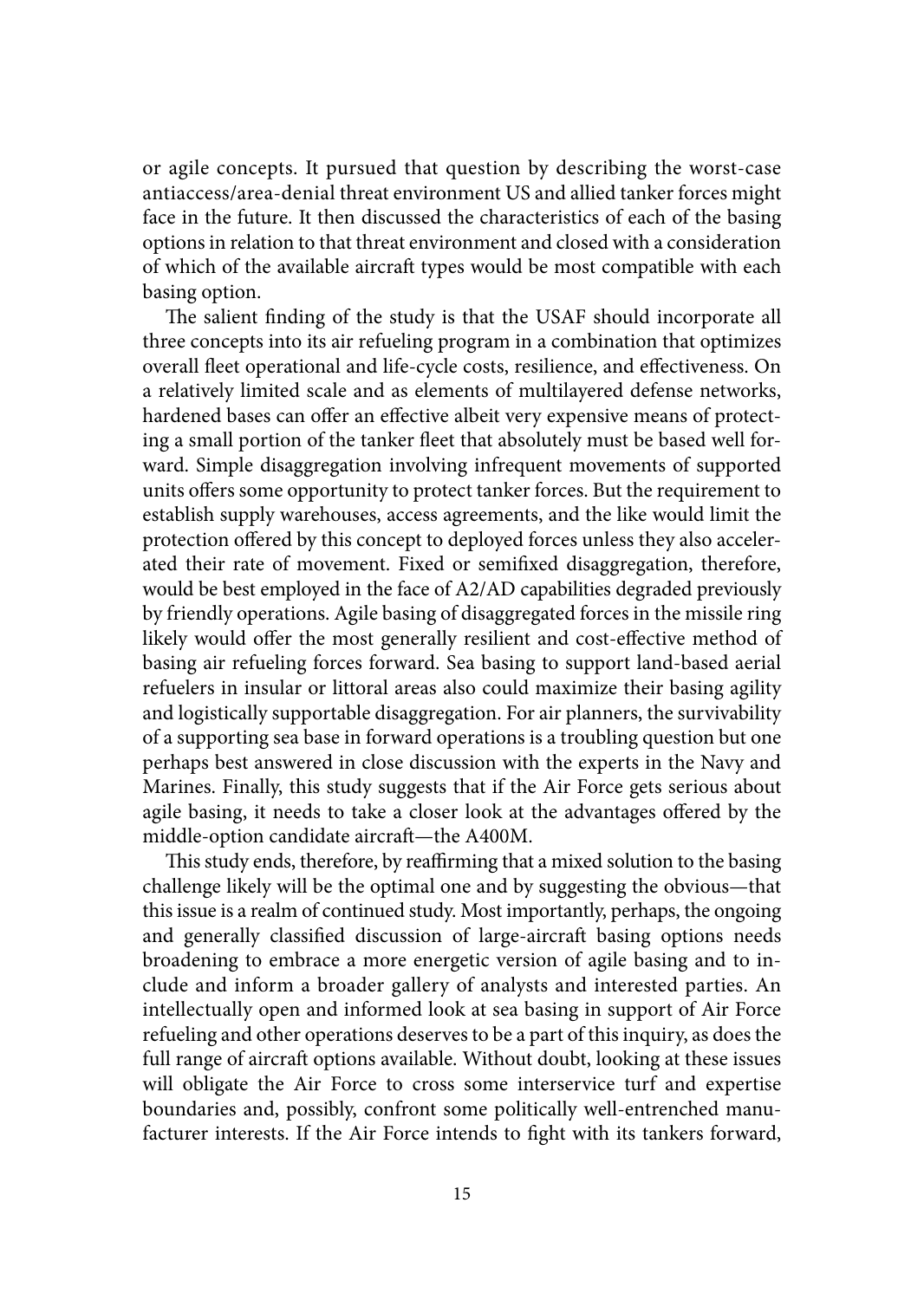or agile concepts. It pursued that question by describing the worst-case antiaccess/area-denial threat environment US and allied tanker forces might face in the future. It then discussed the characteristics of each of the basing options in relation to that threat environment and closed with a consideration of which of the available aircraft types would be most compatible with each basing option.

The salient finding of the study is that the USAF should incorporate all three concepts into its air refueling program in a combination that optimizes overall fleet operational and life-cycle costs, resilience, and effectiveness. On a relatively limited scale and as elements of multilayered defense networks, hardened bases can offer an effective albeit very expensive means of protecting a small portion of the tanker fleet that absolutely must be based well forward. Simple disaggregation involving infrequent movements of supported units offers some opportunity to protect tanker forces. But the requirement to establish supply warehouses, access agreements, and the like would limit the protection offered by this concept to deployed forces unless they also accelerated their rate of movement. Fixed or semifixed disaggregation, therefore, would be best employed in the face of A2/AD capabilities degraded previously by friendly operations. Agile basing of disaggregated forces in the missile ring likely would offer the most generally resilient and cost-effective method of basing air refueling forces forward. Sea basing to support land-based aerial refuelers in insular or littoral areas also could maximize their basing agility and logistically supportable disaggregation. For air planners, the survivability of a supporting sea base in forward operations is a troubling question but one perhaps best answered in close discussion with the experts in the Navy and Marines. Finally, this study suggests that if the Air Force gets serious about agile basing, it needs to take a closer look at the advantages offered by the middle-option candidate aircraft—the A400M.

This study ends, therefore, by reaffirming that a mixed solution to the basing challenge likely will be the optimal one and by suggesting the obvious—that this issue is a realm of continued study. Most importantly, perhaps, the ongoing and generally classified discussion of large-aircraft basing options needs broadening to embrace a more energetic version of agile basing and to include and inform a broader gallery of analysts and interested parties. An intellectually open and informed look at sea basing in support of Air Force refueling and other operations deserves to be a part of this inquiry, as does the full range of aircraft options available. Without doubt, looking at these issues will obligate the Air Force to cross some interservice turf and expertise boundaries and, possibly, confront some politically well-entrenched manufacturer interests. If the Air Force intends to fight with its tankers forward,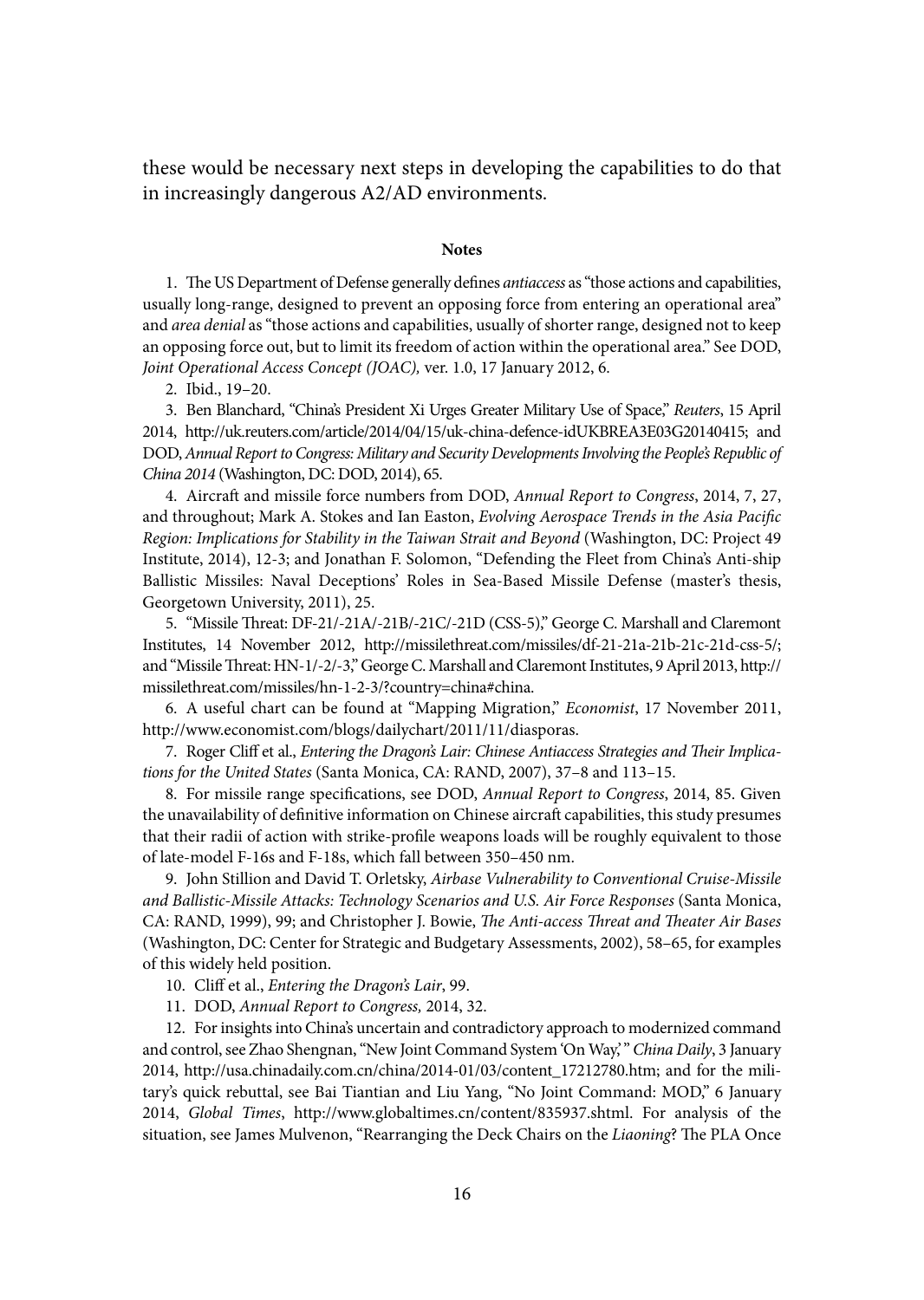these would be necessary next steps in developing the capabilities to do that in increasingly dangerous A2/AD environments.

#### **Notes**

1. The US Department of Defense generally defines *antiaccess* as "those actions and capabilities, usually long-range, designed to prevent an opposing force from entering an operational area" and *area denial* as "those actions and capabilities, usually of shorter range, designed not to keep an opposing force out, but to limit its freedom of action within the operational area." See DOD, *Joint Operational Access Concept (JOAC),* ver. 1.0, 17 January 2012, 6.

2. Ibid., 19–20.

3. Ben Blanchard, "China's President Xi Urges Greater Military Use of Space," *Reuters*, 15 April 2014, <http://uk.reuters.com/article/2014/04/15/uk>-china-defence-idUKBREA3E03G20140415; and DOD, *Annual Report to Congress: Military and Security Developments Involving the People's Republic of China 2014* (Washington, DC: DOD, 2014), 65.

4. Aircraft and missile force numbers from DOD, *Annual Report to Congress*, 2014, 7, 27, and throughout; Mark A. Stokes and Ian Easton, *Evolving Aerospace Trends in the Asia Pacific Region: Implications for Stability in the Taiwan Strait and Beyond* (Washington, DC: Project 49 Institute, 2014), 12-3; and Jonathan F. Solomon, "Defending the Fleet from China's Anti-ship Ballistic Missiles: Naval Deceptions' Roles in Sea-Based Missile Defense (master's thesis, Georgetown University, 2011), 25.

5. "Missile Threat: DF-21/-21A/-21B/-21C/-21D (CSS-5)," George C. Marshall and Claremont Institutes, 14 November 2012, <http://missilethreat.com/missiles/df>-21-21a-21b-21c-21d-css-5/; and "Missile Threat: HN-1/-2/-3," George C. Marshall and Claremont Institutes, 9 April 2013, [http://](http://missilethreat.com/missiles/hn) [missilethreat.com/missiles/hn](http://missilethreat.com/missiles/hn)-1-2-3/?country=china#china.

6. A useful chart can be found at "Mapping Migration," *Economist*, 17 November 2011, [http://www.economist.com/blogs/dailychart/2011/11/diasporas.](http://www.economist.com/blogs/dailychart/2011/11/diasporas)

7. Roger Cliff et al., *Entering the Dragon's Lair: Chinese Antiaccess Strategies and Their Implications for the United States* (Santa Monica, CA: RAND, 2007), 37–8 and 113–15.

8. For missile range specifications, see DOD, *Annual Report to Congress*, 2014, 85. Given the unavailability of definitive information on Chinese aircraft capabilities, this study presumes that their radii of action with strike-profile weapons loads will be roughly equivalent to those of late-model F-16s and F-18s, which fall between 350–450 nm.

9. John Stillion and David T. Orletsky, *Airbase Vulnerability to Conventional Cruise-Missile and Ballistic-Missile Attacks: Technology Scenarios and U.S. Air Force Responses* (Santa Monica, CA: RAND, 1999), 99; and Christopher J. Bowie, *The Anti-access Threat and Theater Air Bases* (Washington, DC: Center for Strategic and Budgetary Assessments, 2002), 58–65, for examples of this widely held position.

10. Cliff et al., *Entering the Dragon's Lair*, 99.

11. DOD, *Annual Report to Congress,* 2014, 32.

12. For insights into China's uncertain and contradictory approach to modernized command and control, see Zhao Shengnan, "New Joint Command System 'On Way,' " *China Daily*, 3 January 2014, [http://usa.chinadaily.com.cn/china/2014-01/03/content\\_17212780.htm](http://usa.chinadaily.com.cn/china/2014-01/03/content_17212780.htm); and for the military's quick rebuttal, see Bai Tiantian and Liu Yang, "No Joint Command: MOD," 6 January 2014, *Global Times*, <http://www.globaltimes.cn/content/835937.shtml>. For analysis of the situation, see James Mulvenon, "Rearranging the Deck Chairs on the *Liaoning*? The PLA Once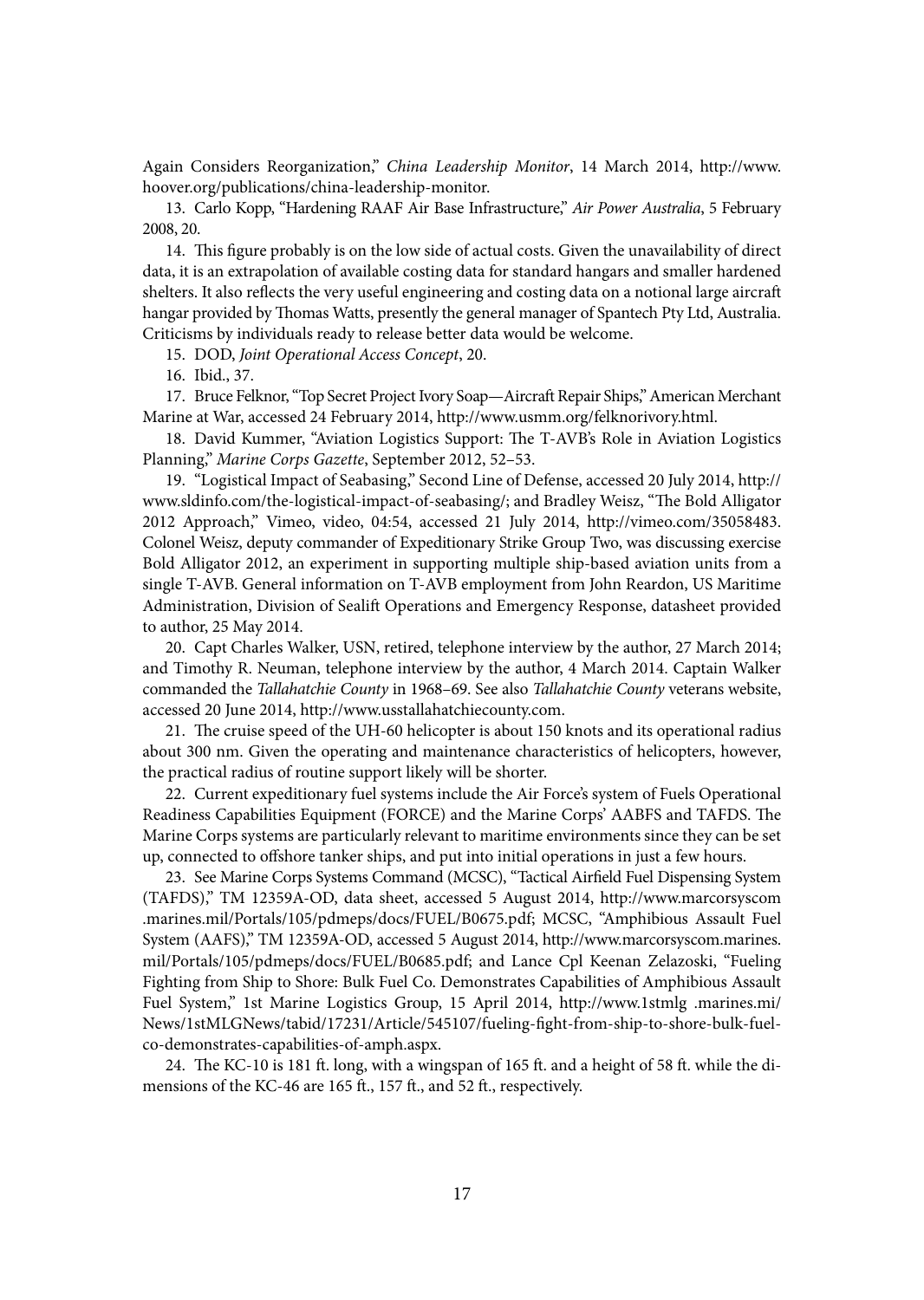Again Considers Reorganization," *China Leadership Monitor*, 14 March 2014, http://www. <hoover.org/publications/china>-leadership-monitor.

13. Carlo Kopp, "Hardening RAAF Air Base Infrastructure," *Air Power Australia*, 5 February 2008, 20.

14. This figure probably is on the low side of actual costs. Given the unavailability of direct data, it is an extrapolation of available costing data for standard hangars and smaller hardened shelters. It also reflects the very useful engineering and costing data on a notional large aircraft hangar provided by Thomas Watts, presently the general manager of Spantech Pty Ltd, Australia. Criticisms by individuals ready to release better data would be welcome.

15. DOD, *Joint Operational Access Concept*, 20.

16. Ibid., 37.

17. Bruce Felknor, "Top Secret Project Ivory Soap—Aircraft Repair Ships," American Merchant Marine at War, accessed 24 February 2014, [http://www.usmm.org/felknorivory.html.](http://www.usmm.org/felknorivory.html)

18. David Kummer, "Aviation Logistics Support: The T-AVB's Role in Aviation Logistics Planning," *Marine Corps Gazette*, September 2012, 52–53.

19. "Logistical Impact of Seabasing," Second Line of Defense, accessed 20 July 2014, [http://](http://www.sldinfo.com/the) [www.sldinfo.com/the-](http://www.sldinfo.com/the)logistical-impact-of-seabasing/; and Bradley Weisz, "The Bold Alligator 2012 Approach," Vimeo, video, 04:54, accessed 21 July 2014, [http://vimeo.com/35058483.](http://vimeo.com/35058483) Colonel Weisz, deputy commander of Expeditionary Strike Group Two, was discussing exercise Bold Alligator 2012, an experiment in supporting multiple ship-based aviation units from a single T-AVB. General information on T-AVB employment from John Reardon, US Maritime Administration, Division of Sealift Operations and Emergency Response, datasheet provided to author, 25 May 2014.

20. Capt Charles Walker, USN, retired, telephone interview by the author, 27 March 2014; and Timothy R. Neuman, telephone interview by the author, 4 March 2014. Captain Walker commanded the *Tallahatchie County* in 1968–69. See also *Tallahatchie County* veterans website, accessed 20 June 2014, <http://www.usstallahatchiecounty.com>.

21. The cruise speed of the UH-60 helicopter is about 150 knots and its operational radius about 300 nm. Given the operating and maintenance characteristics of helicopters, however, the practical radius of routine support likely will be shorter.

22. Current expeditionary fuel systems include the Air Force's system of Fuels Operational Readiness Capabilities Equipment (FORCE) and the Marine Corps' AABFS and TAFDS. The Marine Corps systems are particularly relevant to maritime environments since they can be set up, connected to offshore tanker ships, and put into initial operations in just a few hours.

23. See Marine Corps Systems Command (MCSC), "Tactical Airfield Fuel Dispensing System (TAFDS)," TM 12359A-OD, data sheet, accessed 5 August 2014, [http://www.marcorsyscom](http://www.marcorsyscom.marines.mil/Portals/105/pdmeps/docs/FUEL/B0675.pdf) [.marines.mil/Portals/105/pdmeps/docs/FUEL/B0675.pdf;](http://www.marcorsyscom.marines.mil/Portals/105/pdmeps/docs/FUEL/B0675.pdf) MCSC, "Amphibious Assault Fuel System (AAFS)," TM 12359A-OD, accessed 5 August 2014, [http://www.marcorsyscom.marines.](http://www.marcorsyscom.marines.mil/Portals/105/pdmeps/docs/FUEL/B0685.pdf) [mil/Portals/105/pdmeps/docs/FUEL/B0685.pdf](http://www.marcorsyscom.marines.mil/Portals/105/pdmeps/docs/FUEL/B0685.pdf); and Lance Cpl Keenan Zelazoski, "Fueling Fighting from Ship to Shore: Bulk Fuel Co. Demonstrates Capabilities of Amphibious Assault Fuel System," 1st Marine Logistics Group, 15 April 2014, <http://www.1stmlg> .marines.mi/ News/1stMLGNews/tabid/17231/Article/545107/fueling-fight-from-ship-to-shore-bulk-fuelco-demonstrates-capabilities-of-amph.aspx.

24. The KC-10 is 181 ft. long, with a wingspan of 165 ft. and a height of 58 ft. while the dimensions of the KC-46 are 165 ft., 157 ft., and 52 ft., respectively.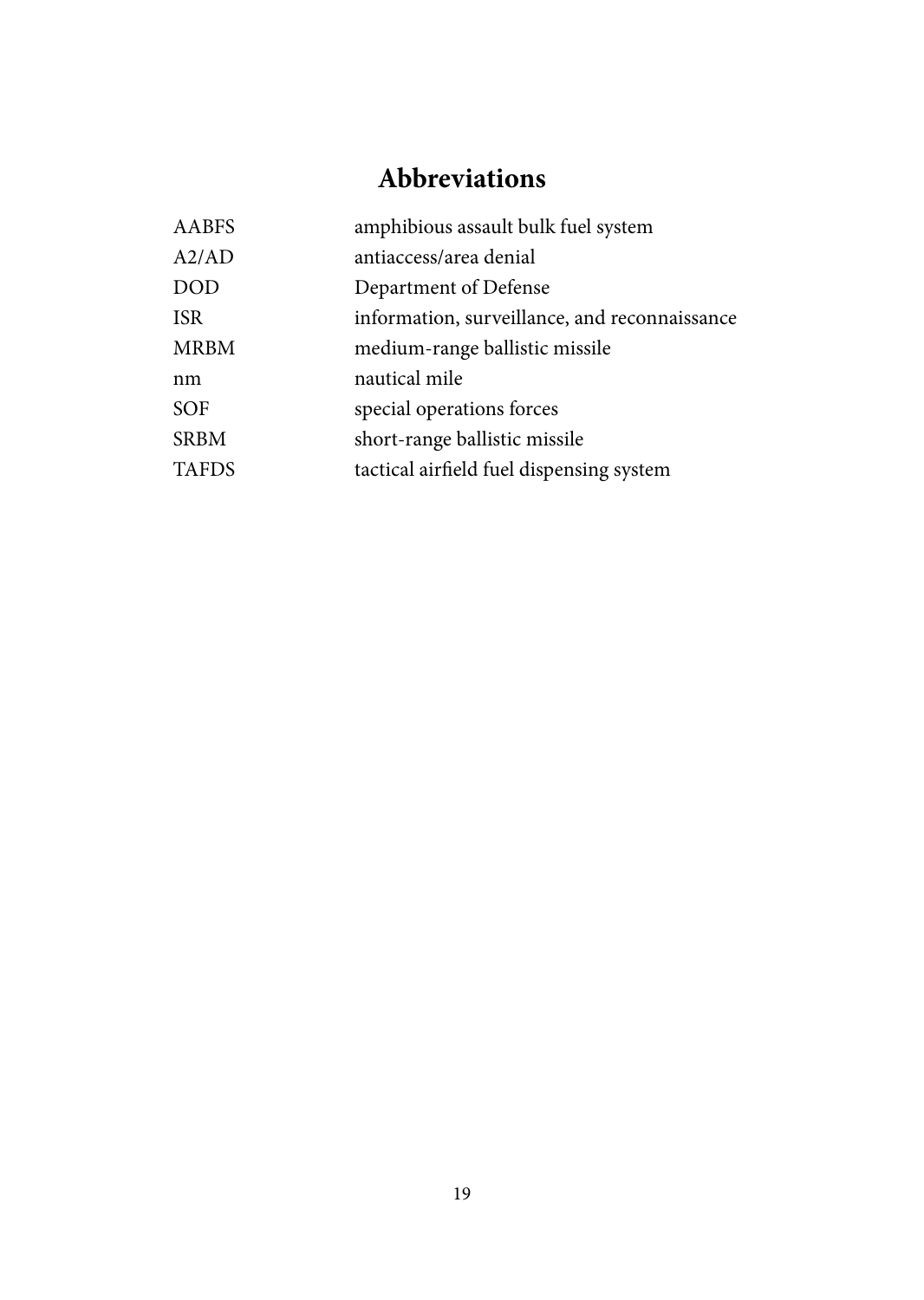# **Abbreviations**

| AABFS        | amphibious assault bulk fuel system           |
|--------------|-----------------------------------------------|
| A2/AD        | antiaccess/area denial                        |
| <b>DOD</b>   | Department of Defense                         |
| <b>ISR</b>   | information, surveillance, and reconnaissance |
| <b>MRBM</b>  | medium-range ballistic missile                |
| nm           | nautical mile                                 |
| <b>SOF</b>   | special operations forces                     |
| <b>SRBM</b>  | short-range ballistic missile                 |
| <b>TAFDS</b> | tactical airfield fuel dispensing system      |